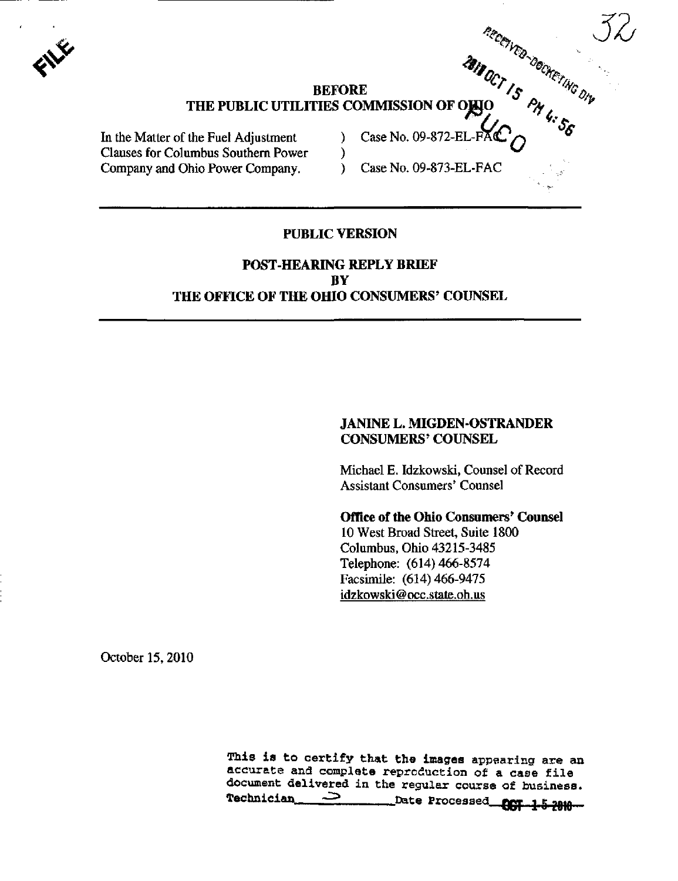

#### BEFORE  $'$  /s  $''c_{\Omega}$ THE PUBLIC UTILITIES COMMISSION OF OHIO

In the Matter of the Fuel Adjustment  $\qquad$   $\qquad$   $\qquad$  Case No. 09-872-EL-F Clauses for Columbus Southern Power ) ^ Company and Ohio Power Company. (2008) Case No. 09-873-EL-FAC

そう.

 $\mathbb{R}_{c_{\mathcal{O}_{\mathbb{N}_{\alpha}}}}$  via

#### PUBLIC VERSION

## POST-HEARING REPLY BRIEF BY THE OFFICE OF THE OHIO CONSUMERS' COUNSEL

## JANINE L. MIGDEN-OSTRANDER CONSUMERS' COUNSEL

Michael E. Idzkowski, Counsel of Record Assistant Consumers' Counsel

## Office of the Ohio Consumers' Counsel

10 West Broad Street, Suite 1800 Columbus, Ohio 43215-3485 Telephone: (614) 466-8574 Facsimile: (614) 466-9475 [idzkowski@occ.state.oh.us](mailto:idzkowski@occ.state.oh.us) 

October 15,2010

This is to certify that the images appearing are an accurate and complete reproduction of a case file document delivered in the regular course of business.<br>Technician  $\sum_{\text{Date Processes}}$ \_Date Processed **COT 1-5 2010**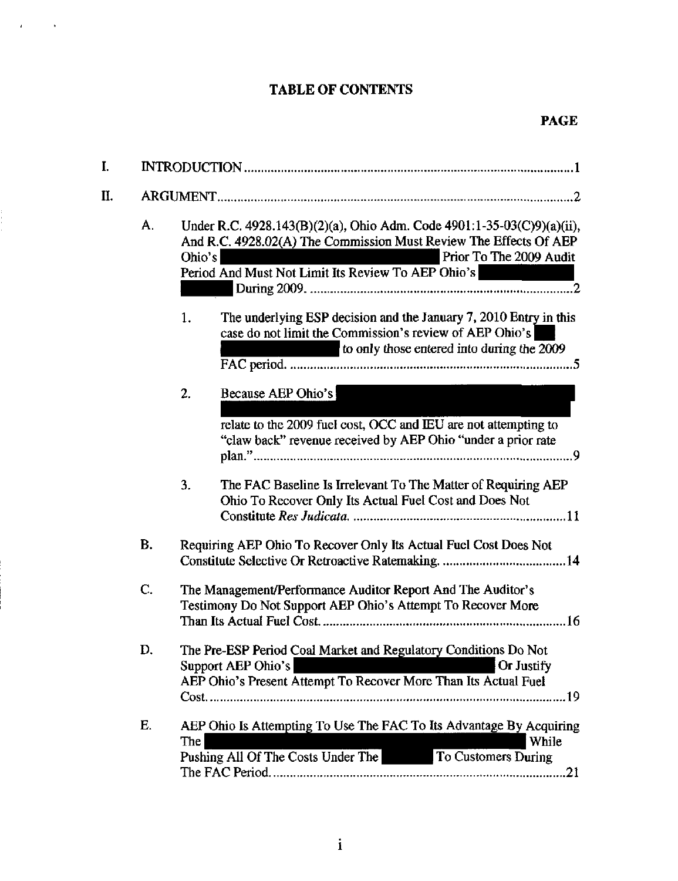# TABLE OF CONTENTS

 $\ddot{\phantom{a}}$ 

 $\overline{1}$ 

 $\frac{1}{1}$ 

| I. |    |                                                                                                                                                                                                                                        |  |
|----|----|----------------------------------------------------------------------------------------------------------------------------------------------------------------------------------------------------------------------------------------|--|
| П. |    |                                                                                                                                                                                                                                        |  |
|    | А. | Under R.C. 4928.143(B)(2)(a), Ohio Adm. Code 4901:1-35-03(C)9)(a)(ii),<br>And R.C. 4928.02(A) The Commission Must Review The Effects Of AEP<br>Prior To The 2009 Audit<br>Ohio's<br>Period And Must Not Limit Its Review To AEP Ohio's |  |
|    |    | The underlying ESP decision and the January 7, 2010 Entry in this<br>1.<br>case do not limit the Commission's review of AEP Ohio's<br>to only those entered into during the 2009                                                       |  |
|    |    | 2.<br>Because AEP Ohio's<br>relate to the 2009 fuel cost, OCC and IEU are not attempting to<br>"claw back" revenue received by AEP Ohio "under a prior rate                                                                            |  |
|    |    | 3.<br>The FAC Baseline Is Irrelevant To The Matter of Requiring AEP<br>Ohio To Recover Only Its Actual Fuel Cost and Does Not                                                                                                          |  |
|    | B. | Requiring AEP Ohio To Recover Only Its Actual Fuel Cost Does Not                                                                                                                                                                       |  |
|    | C. | The Management/Performance Auditor Report And The Auditor's<br>Testimony Do Not Support AEP Ohio's Attempt To Recover More                                                                                                             |  |
|    | D. | The Pre-ESP Period Coal Market and Regulatory Conditions Do Not<br>Or Justify<br>Support AEP Ohio's<br>AEP Ohio's Present Attempt To Recover More Than Its Actual Fuel                                                                 |  |
|    | Е. | AEP Ohio Is Attempting To Use The FAC To Its Advantage By Acquiring<br>While<br>The<br>Pushing All Of The Costs Under The To Customers During                                                                                          |  |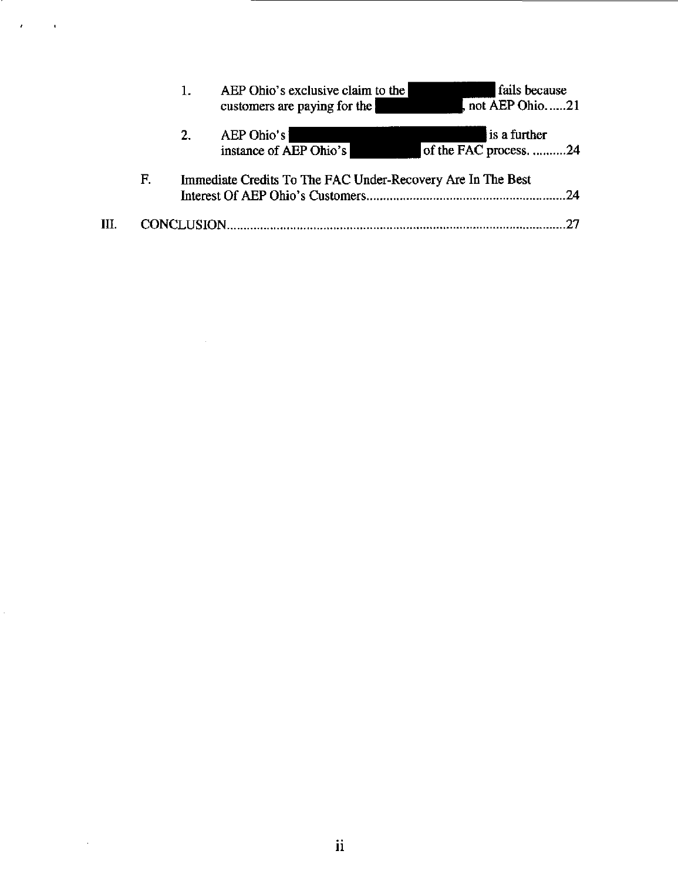|    |    | 1.                 | AEP Ohio's exclusive claim to the<br>customers are paying for the | fails because<br>not AEP Ohio21        |
|----|----|--------------------|-------------------------------------------------------------------|----------------------------------------|
|    |    | 2.                 | AEP Ohio's<br>instance of AEP Ohio's                              | is a further<br>of the FAC process. 24 |
|    | F. |                    | Immediate Credits To The FAC Under-Recovery Are In The Best       | -24                                    |
| Ш. |    | <b>CONCLUSION.</b> |                                                                   |                                        |

 $\mathcal{L}^{\text{max}}_{\text{max}}$  ,  $\mathcal{L}^{\text{max}}_{\text{max}}$ 

 $\hat{\mathcal{L}}$ 

 $\sim 10^6$ 

 $\mathcal{A}$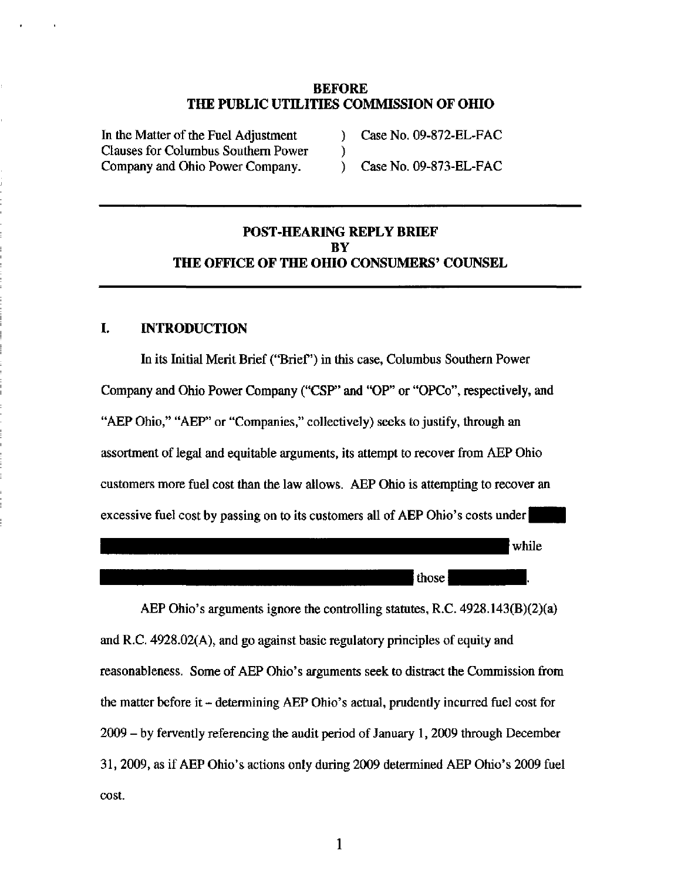### BEFORE THE PUBLIC UTILITIES COMMISSION OF OHIO

 $\left\{ \begin{array}{c} 1 \\ 2 \end{array} \right\}$ 

In the Matter of the Fuel Adjustment Clauses for Columbus Southern Power Company and Ohio Power Company.

 $)$  Case No. 09-872-EL-FAC

) Case No. 09-873-EL-FAC

## POST-HEARING REPLY BRIEF **BY** THE OFFICE OF THE OHIO CONSUMERS' COUNSEL

### I. INTRODUCTION

In its Initial Merit Brief ("Brief") in this case, Columbus Southern Power Company and Ohio Power Company ("CSP" and "OP" or "OPCo", respectively, and "AEP Ohio," "AEP" or "Companies," collectively) seeks to justify, through an assortment of legal and equitable arguments, its attempt to recover from AEP Ohio customers more fuel cost than the law allows. AEP Ohio is attempting to recover an excessive fuel cost by passing on to its customers all of AEP Ohio's costs under

> while those |

AEP Ohio's arguments ignore the controlling statutes, R.C. 4928.143(B)(2)(a) and R.C. 4928.02(A), and go against basic regulatory principles of equity and reasonableness. Some of AEP Ohio's arguments seek to distract the Commission from the matter before it - determining AEP Ohio's actual, prudentiy incurred fuel cost for 2009 - by ferventiy referencing the audit period of January 1,2009 through December 31, 2009, as if AEP Ohio's actions only during 2009 determined AEP Ohio's 2009 fuel cost.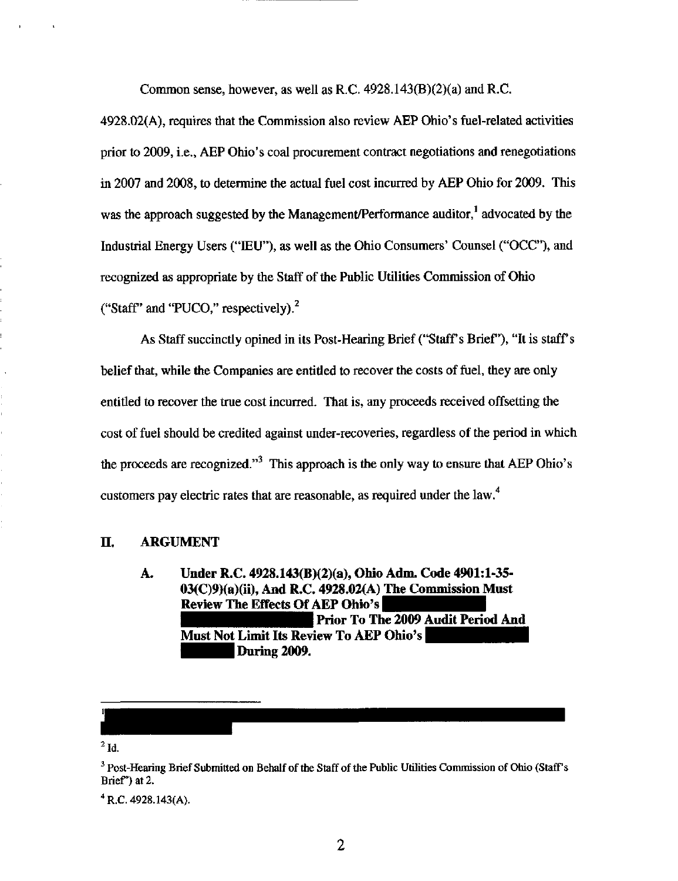Common sense, however, as well as R.C. 4928.143(B)(2)(a) and R.C,

4928.02(A), requires that the Commission also review AEP Ohio's fuel-related activities prior to 2009, i.e., AEP Ohio's coal procurement contract negotiations and renegotiations in 2007 and 2008, to determine the actual fuel cost incurred by AEP Ohio for 2009. This was the approach suggested by the Management/Performance auditor,<sup>1</sup> advocated by the Industrial Energy Users ("lEU"), as well as the Ohio Consumers' Counsel ("OCC"), and recognized as appropriate by the Staff of die Public Utilities Commission of Ohio ("Staff" and "PUCO," respectively). $^2$ 

As Staff succinctly opined in its Post-Hearing Brief ("Staff's Brief"), "It is staff's belief that, while the Companies are entitled to recover the costs of fuel, they are only entitied to recover the true cost incurred. That is, any proceeds received offsetting the cost of fuel should be credited against under-recoveries, regardless of the period in which the proceeds are recognized. $\mathbf{r}^3$  This approach is the only way to ensure that AEP Ohio's customers pay electric rates that are reasonable, as required under the law.

#### IL ARGUMENT

Under R.C. 4928.143(B)(2)(a), Ohio Adm. Code 4901:1-35- A. 03(C)9)(a)(ii), And R,C. 4928.02(A) The Commission Must Review The Effects Of AEP Ohio's Prior To The 2009 Audit Period And Must Not Limit Its Review To AEP Ohio's During 2009.

 $^{2}$  Id.

 $^4$  R.C. 4928.143(A).

<sup>&</sup>lt;sup>3</sup> Post-Hearing Brief Submitted on Behalf of the Staff of the Public Utilities Commission of Ohio (Staff's Brief") at 2.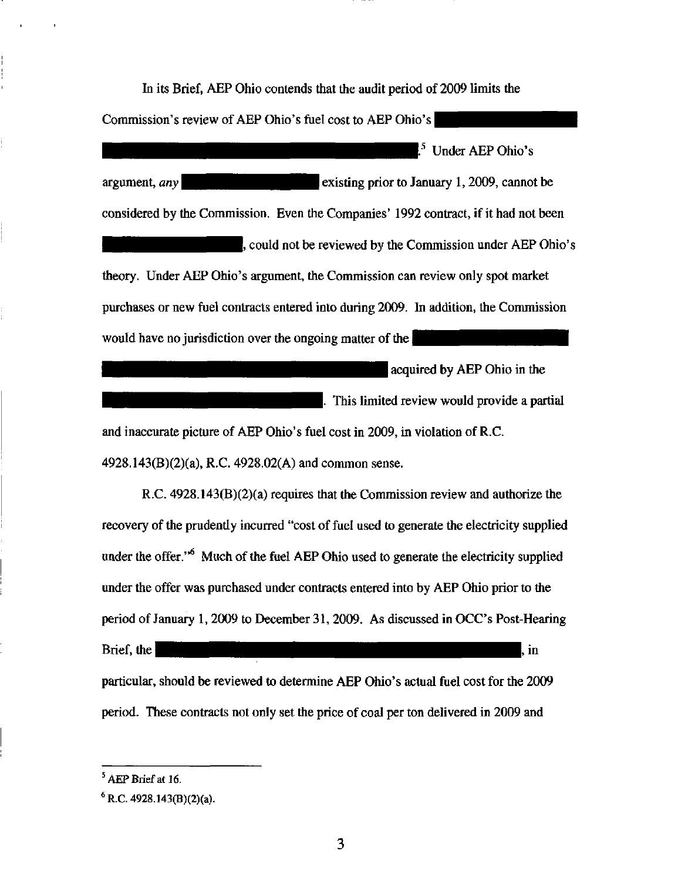hi its Brief, AEP Ohio contends that the audit period of 2009 limits the Commission's review of AEP Ohio's fuel cost to AEP Ohio's  $<sup>5</sup>$  Under AEP Ohio's</sup> argument, any **existing prior to January 1, 2009**, cannot be considered by the Commission. Even the Companies' 1992 contract, if it had not been , could not be reviewed by the Commission under AEP Ohio's theory. Under AEP Ohio's argument, the Commission can review only spot market purchases or new fuel contracts entered into during 2009. In addition, the Commission would have no jurisdiction over the ongoing matter of the  $\vert$ acquired by AEP Ohio in the |. This limited review would provide a partial

and inaccurate picture of AEP Ohio's fuel cost in 2009, in violation of R.C. 4928.143(B)(2)(a), R.C. 4928.02(A) and common sense.

R.C. 4928.143(B)(2)(a) requires that the Commission review and authorize the recovery of the prudentiy incurred "cost of fuel used to generate the electricity supplied under the offer."<sup>6</sup> Much of the fuel AEP Ohio used to generate the electricity supplied under the offer was purchased under contracts entered into by AEP Ohio prior to the period of January 1,2009 to December 31, 2009. As discussed in OCC's Post-Hearing the  $\mathbf{H}$  is the  $\mathbf{H}$  is the  $\mathbf{H}$  in  $\mathbf{H}$  is the  $\mathbf{H}$  in  $\mathbf{H}$ 

particular, should be reviewed to determine AEP Ohio's actual fuel cost for the 2009 period. These contracts not only set the price of coal per ton delivered in 2009 and

AEP Brief at 16.

 $6$  R.C. 4928.143(B)(2)(a).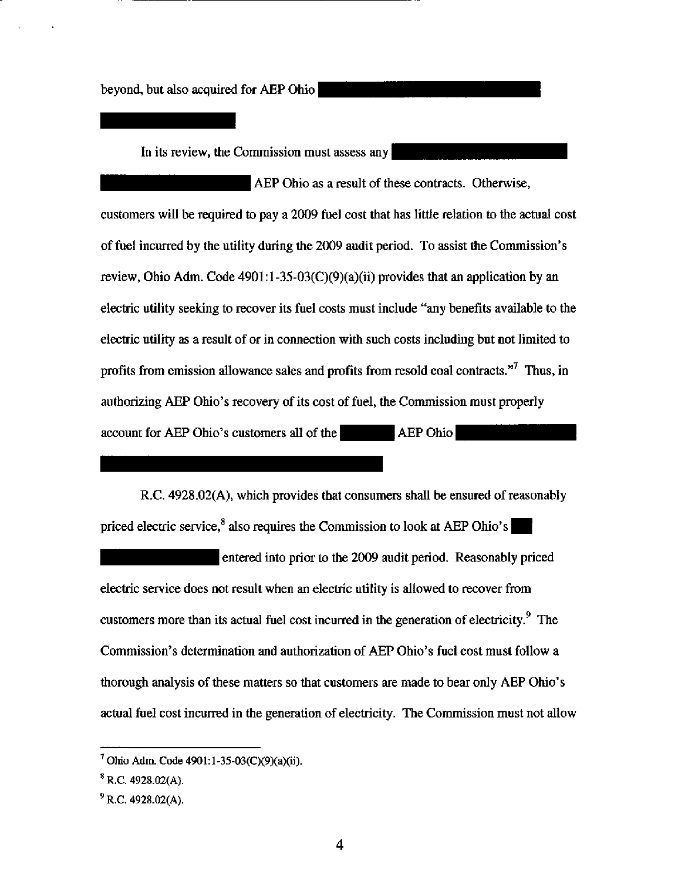beyond, but also acquired for AEP Ohio

In its review, the Commission must assess any

AEP Ohio as a result of these contracts. Otherwise, customers will be required to pay a 2009 fuel cost that has littie relation to the actual cost of fuel incurred by the utility during the 2009 audit period. To assist the Commission's review, Ohio Adm. Code  $4901:1-35-03(C)(9)(a)(ii)$  provides that an application by an electric utility seeking to recover its fuel costs must include "any benefits available to the electric utility as a result of or in connection with such costs including but not limited to profits from emission allowance sales and profits from resold coal contracts."' Thus, in authorizing AEP Ohio's recovery of its cost of fuel, the Commission must properly account for AEP Ohio's customers all of the •••^ H ^£p Q^^^Q

R.C. 4928.02(A), which provides that consumers shall be ensured of reasonably priced electric service, $^8$  also requires the Commission to look at AEP Ohio's

entered into prior to the 2009 audit period. Reasonably priced electric service does not result when an electric utility is allowed to recover from customers more than its actual fuel cost incurred in the generation of electricity.<sup>9</sup> The Commission's determination and authorization of AEP Ohio's fuel cost must follow a thorough analysis of these matters so that customers are made to bear only AEP Ohio's actual fuel cost incurred in die generation of electricity. The Commission must not allow

 $^7$  Ohio Adm. Code 4901:1-35-03(C)(9)(a)(ii).

 $^8$  R.C. 4928.02(A).

 $P^9$  R.C. 4928.02(A).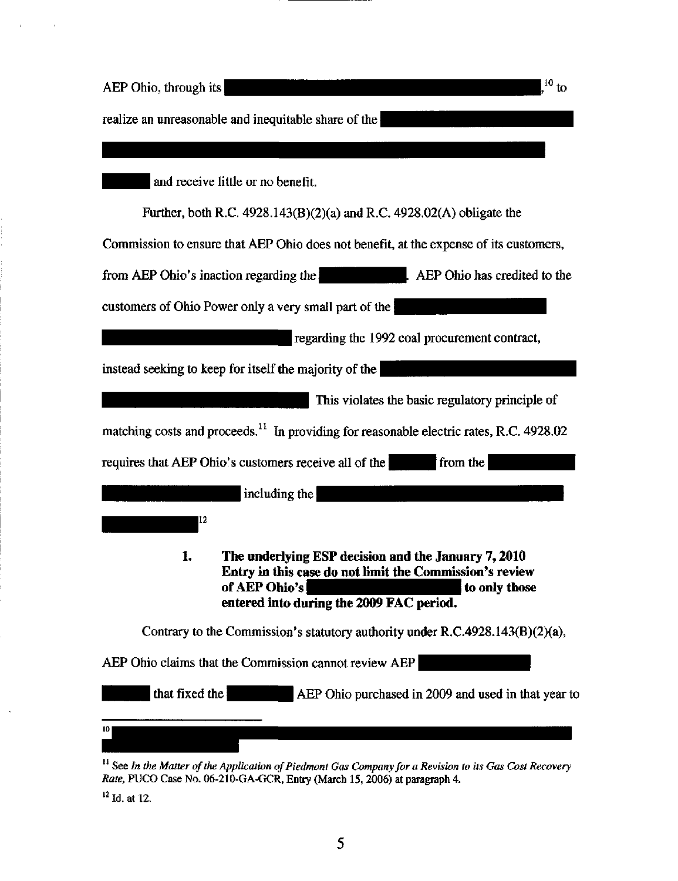| $^{10}$ to<br>AEP Ohio, through its                                                                                                                                                                |
|----------------------------------------------------------------------------------------------------------------------------------------------------------------------------------------------------|
| realize an unreasonable and inequitable share of the                                                                                                                                               |
|                                                                                                                                                                                                    |
| and receive little or no benefit.                                                                                                                                                                  |
| Further, both R.C. $4928.143(B)(2)(a)$ and R.C. $4928.02(A)$ obligate the                                                                                                                          |
| Commission to ensure that AEP Ohio does not benefit, at the expense of its customers,                                                                                                              |
| from AEP Ohio's inaction regarding the<br>AEP Ohio has credited to the                                                                                                                             |
| customers of Ohio Power only a very small part of the                                                                                                                                              |
| regarding the 1992 coal procurement contract,                                                                                                                                                      |
| instead seeking to keep for itself the majority of the                                                                                                                                             |
| This violates the basic regulatory principle of                                                                                                                                                    |
| matching costs and proceeds. <sup>11</sup> In providing for reasonable electric rates, R.C. 4928.02                                                                                                |
| requires that AEP Ohio's customers receive all of the<br>from the                                                                                                                                  |
| including the                                                                                                                                                                                      |
| IL 2                                                                                                                                                                                               |
| The underlying ESP decision and the January 7, 2010<br>1.<br>Entry in this case do not limit the Commission's review<br>of AEP Ohio's<br>to only those<br>entered into during the 2009 FAC period. |
| Contrary to the Commission's statutory authority under $R.C.4928.143(B)(2)(a)$ ,                                                                                                                   |
| AEP Ohio claims that the Commission cannot review AEP                                                                                                                                              |
| that fixed the<br>AEP Ohio purchased in 2009 and used in that year to                                                                                                                              |
| $11$ See In the Matter of the Application of Piedmont Gas Company for a Revision to its Gas Cost Recovery                                                                                          |

Rate, PUCO Case No. 06-210-GA-GCR, Entry (March 15, 2006) at paragraph 4.

 $^{12}$  Id. at 12.

 $\hat{\mathcal{A}}$ 

 $\bar{\mathbf{r}}$ 

 $\bar{\alpha}$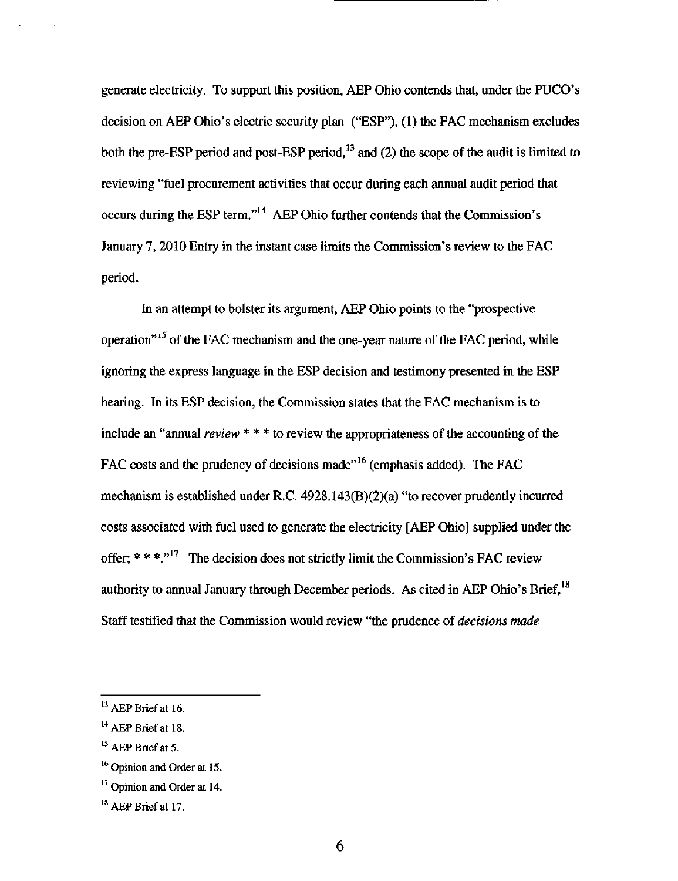generate electricity. To support this position, AEP Ohio contends that, under the PUCO's decision on AEP Ohio's electric security plan ("ESP"), (1) the FAC mechanism excludes both the pre-ESP period and post-ESP period, $^{13}$  and (2) the scope of the audit is limited to reviewing "fuel procurement activities that occur during each annual audit period that occurs during the ESP term, $^{14}$  AEP Ohio further contends that the Commission's January 7, 2010 Entry in the instant case limits the Commission's review to the FAC period.

In an attempt to bolster its argument, AEP Ohio points to the "prospective operation $^{\prime \prime \prime \prime}$  of the FAC mechanism and the one-year nature of the FAC period, while ignoring the express language in the ESP decision and testimony presented in die ESP hearing. In its ESP decision, the Commission states that the FAC mechanism is to include an "annual review  $***$  to review the appropriateness of the accounting of the FAC costs and the prudency of decisions made"<sup>16</sup> (emphasis added). The FAC mechanism is established under R.C.  $4928.143(B)(2)(a)$  "to recover prudently incurred costs associated with fuel used to generate the electricity [AEP Ohio] supplied under the offer;  $* * *$ ."<sup>17</sup> The decision does not strictly limit the Commission's FAC review authority to annual January through December periods. As cited in AEP Ohio's Brief,<sup>18</sup> Staff testified that the Commission would review "the prudence of decisions made

 $^{13}$  AEP Brief at 16.

 $^{14}$  AEP Brief at 18.

 $^{15}$  AEP Brief at 5.

<sup>&</sup>lt;sup>16</sup> Opinion and Order at 15.

<sup>&</sup>lt;sup>17</sup> Opinion and Order at 14.

 $^{18}$  AEP Brief at 17.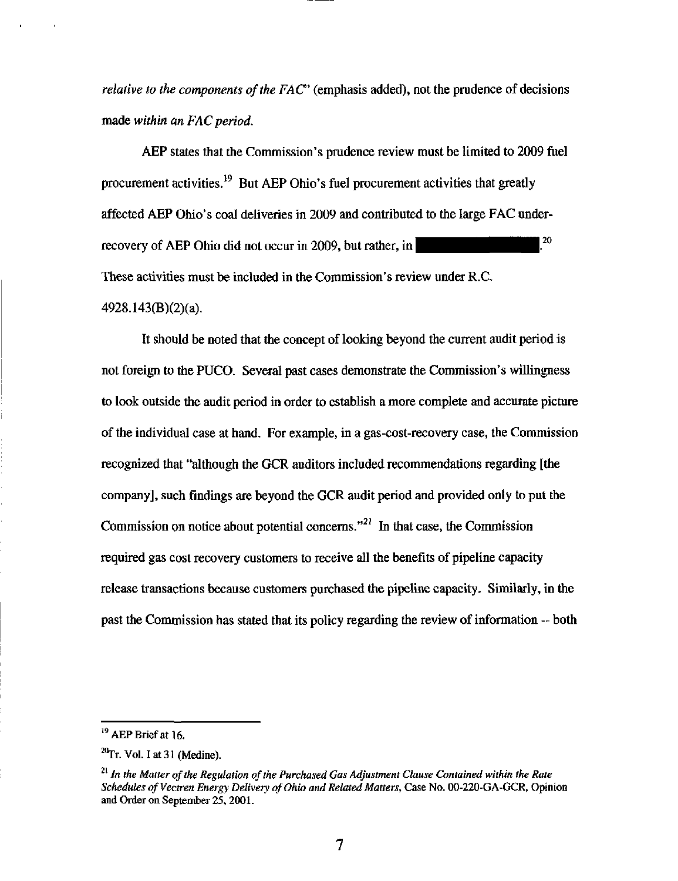*relative to the components of the FAC* $^{\circ}$  (emphasis added), not the prudence of decisions made within an FAC period,

AEP states that the Commission's prudence review must be limited to 2009 fuel procurement activities.<sup>19</sup> But AEP Ohio's fuel procurement activities that greatly affected AEP Ohio's coal deliveries in 2009 and contributed to the large FAC underrecovery of AEP Ohio did not occur in 2009, but rather, in  $\sim$   $^{20}$ These activities must be included in the Commission's review under R.C. 4928.143(B)(2)(a).

It should be noted that the concept of looking beyond the current audit period is not foreign to the PUCO. Several past cases demonstrate the Commission's willingness to look outside the audit period in order to establish a more complete and accurate picture of the individual case at hand. For example, in a gas-cost-recovery case, the Commission recognized that "although the GCR auditors included recommendations regarding [the company], such findings are beyond the GCR audit period and provided only to put the Commission on notice about potential concerns."<sup>21</sup> In that case, the Commission required gas cost recovery customers to receive all the benefits of pipeline capacity release transactions because customers purchased the pipeline capacity. Similarly, in the past the Commission has stated that its policy regarding the review of information -- both

<sup>&</sup>lt;sup>19</sup> AEP Brief at 16.

 $^{20}$ Tr. Vol. I at 31 (Medine).

 $^{21}$  In the Matter of the Regulation of the Purchased Gas Adjustment Clause Contained within the Rate Schedules of Vectren Energy Delivery of Ohio and Related Matters, Case No. 00-220-GA-GCR, Opinion and Order on September 25,2001.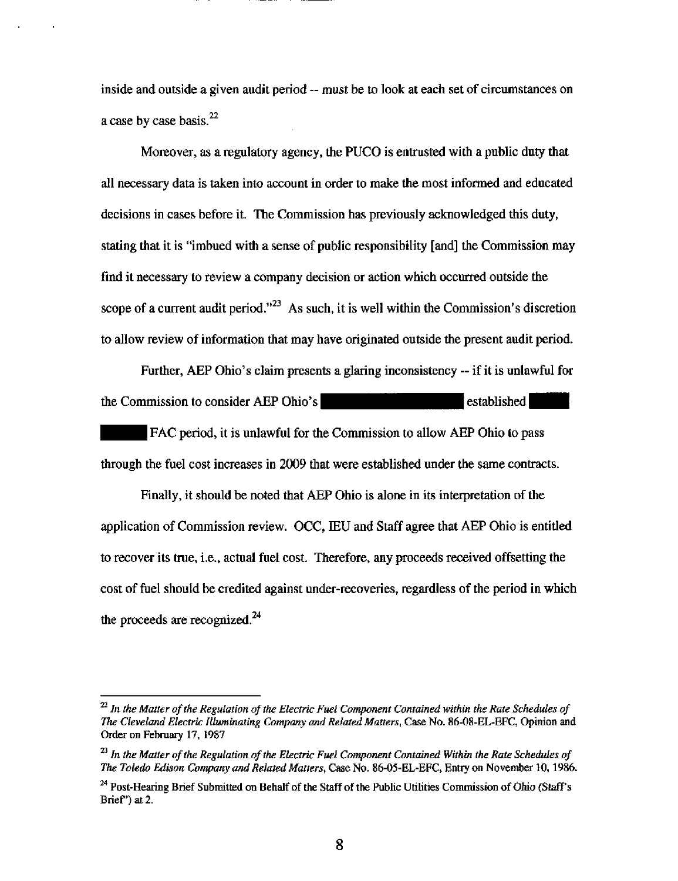inside and outside a given audit period - must be to look at each set of circumstances on a case by case basis. $^{22}$ 

Moreover, as a regulatory agency, the PUCO is entrusted with a public duty that all necessary data is taken into account in order to make the most informed and educated decisions in cases before it. The Commission has previously acknowledged this duty, stating that it is "imbued with a sense of public responsibility [and] the Commission may find it necessary to review a company decision or action which occurred outside the scope of a current audit period."<sup> $23$ </sup> As such, it is well within the Commission's discretion to allow review of information that may have originated outside the present audit period.

Further, AEP Ohio's claim presents a glaring inconsistency ~ if it is unlawful for the Commission to consider AEP Ohio's  $\blacksquare$  established

FAC period, it is unlawful for the Commission to allow AEP Ohio to pass through the fuel cost increases in 2009 that were established under the same contracts.

Finally, it should be noted that AEP Ohio is alone in its interpretation of the application of Commission review. OCC, IEU and Staff agree that AEP Ohio is entitled to recover its true, i.e., actual fuel cost. Therefore, any proceeds received offsetting the cost of fuel should be credited against under-recoveries, regardless of the period in which the proceeds are recognized. $^{24}$ 

 $^{22}$  In the Matter of the Regulation of the Electric Fuel Component Contained within the Rate Schedules of The Cleveland Electric Illuminating Company and Related Matters, Case No. 86-08-EL-EFC, Opinion and Order on February 17, 1987

 $^{23}$  In the Matter of the Regulation of the Electric Fuel Component Contained Within the Rate Schedules of The Toledo Edison Company and Related Matters, Case No. 86-05-EL-EFC, Entry on November 10,1986.

<sup>&</sup>lt;sup>24</sup> Post-Hearing Brief Submitted on Behalf of the Staff of the Public Utilities Commission of Ohio (Staff's Brief") at 2.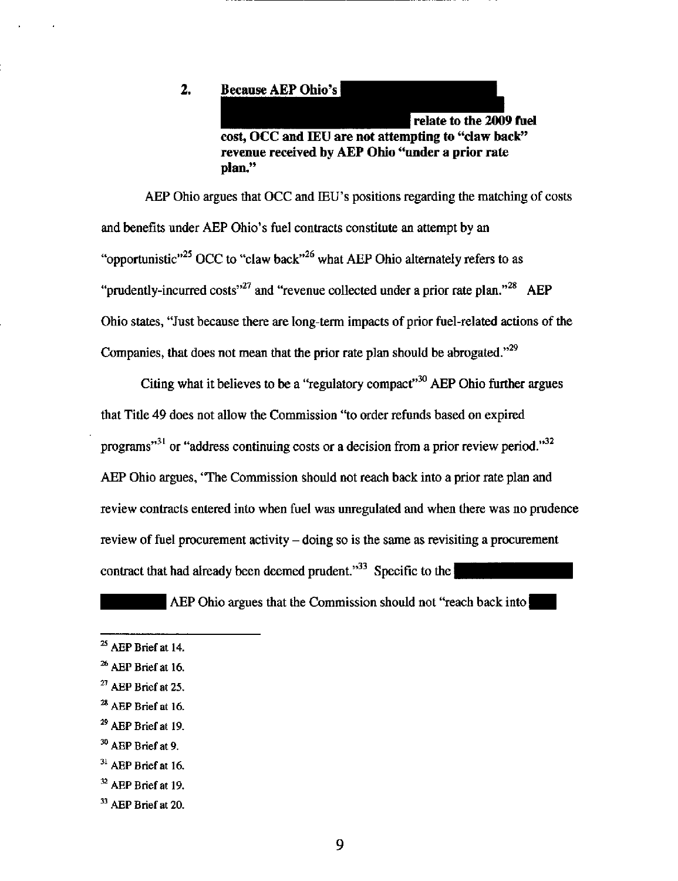#### $2.$ Because AEP Ohio's

relate to the 2009 fuel cost, OCC and lEU are not attempting to "claw back" revenue received by AEP Ohio "under a prior rate plan,"

AEP Ohio argues that OCC and IEU's positions regarding the matching of costs and benefits under AEP Ohio's fuel contracts constitute an attempt by an "opportunistic"<sup>25</sup> OCC to "claw back"<sup>26</sup> what AEP Ohio alternately refers to as "prudently-incurred costs"<sup>27</sup> and "revenue collected under a prior rate plan."<sup>28</sup> AEP Ohio states, "Just because there are long-term impacts of prior fuel-related actions of the Companies, that does not mean that the prior rate plan should be abrogated." $^{29}$ 

Citing what it believes to be a "regulatory compact"<sup>30</sup> AEP Ohio further argues that Titie 49 does not allow the Commission "to order refunds based on expired programs"<sup>31</sup> or "address continuing costs or a decision from a prior review period."<sup>32</sup> AEP Ohio argues, "The Commission should not reach back into a prior rate plan and review contracts entered into when fuel was unregulated and when there was no prudence review of fuel procurement activity – doing so is the same as revisiting a procurement contract that had already been deemed prudent. $^{33}$  Specific to the

AEP Ohio argues that the Commission should not "reach back into

 $^{25}$  AEP Brief at 14.

<sup>&</sup>lt;sup>26</sup> AEP Brief at 16.

 $^{27}$  AEP Brief at 25.

 $^{28}$  AEP Brief at 16.

 $^{29}$  AEP Brief at 19.

 $^{30}$  AEP Brief at 9.

 $31$  AEP Brief at 16.

 $32$  AEP Brief at 19.

 $33$  AEP Brief at 20.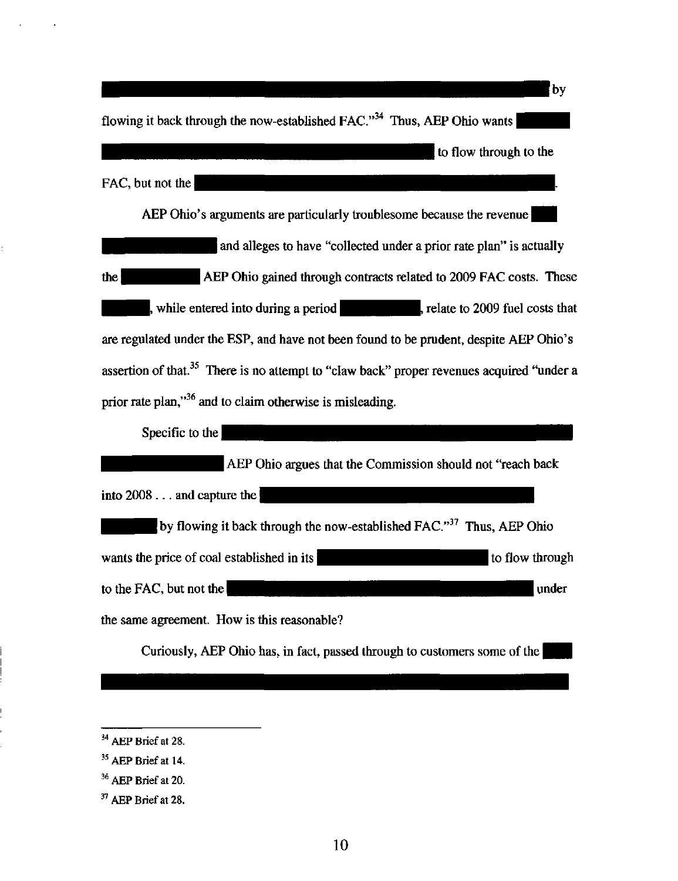by flowing it back through the now-established FAC."<sup>34</sup> Thus, AEP Ohio wants to flow through to the FAC, but not the  $\parallel$ AEP Ohio's arguments are particularly troublesome because the revenue and alleges to have "collected under a prior rate plan" is actually the **EXECUTE ALGO ALGO ALGO EXECUTE ALGO ALGO ALGO ALGO FAC COSTS.** These while entered into during a period  $\mu$ , relate to 2009 fuel costs that are regulated under the ESP, and have not been found to be prudent, despite AEP Ohio's assertion of that.<sup>35</sup> There is no attempt to "claw back" proper revenues acquired "under a prior rate plan," $36$  and to claim otherwise is misleading. Specific to the AEP Ohio argues that the Commission should not "reach back

into 2008 ... and capture the by flowing it back through the now-established FAC." $37$  Thus, AEP Ohio wants the price of coal established in its  $\mathbf{H}$  is  $\mathbf{H}$  is the flow through to the FAC, but not the state of the state of the state of the state of the state of the state of the state of the state of the state of the state of the state of the state of the state of the state of the state of the sta the same agreement. How is this reasonable?

Curiously, AEP Ohio has, in fact, passed through to customers some of the

 $34$  AEP Brief at 28.

 $35$  AEP Brief at 14.

 $36$  AEP Brief at 20.

 $37$  AEP Brief at 28.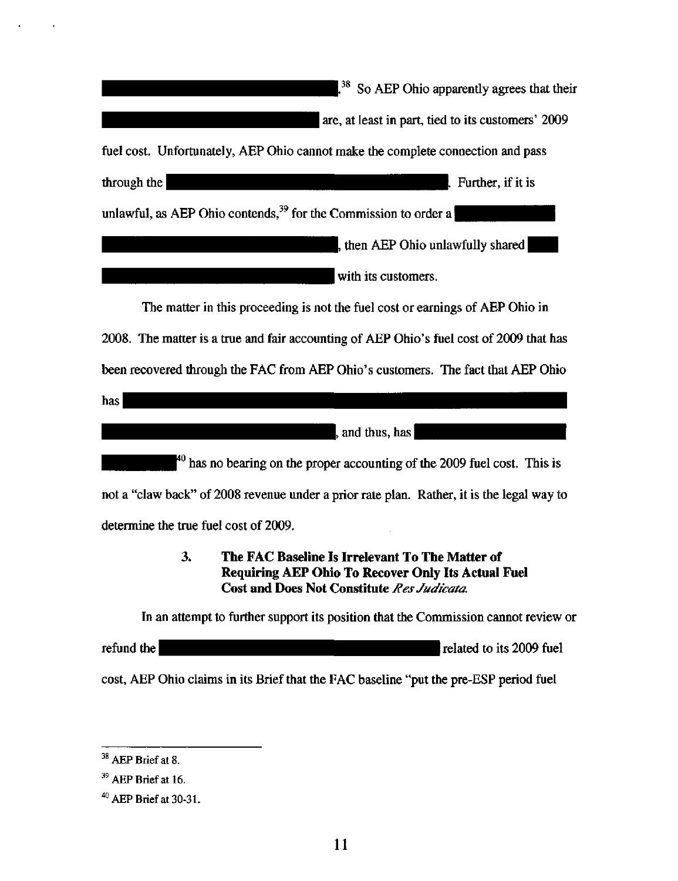| <sup>38</sup> So AEP Ohio apparently agrees that their                                                                                                           |
|------------------------------------------------------------------------------------------------------------------------------------------------------------------|
| are, at least in part, tied to its customers' 2009                                                                                                               |
| fuel cost. Unfortunately, AEP Ohio cannot make the complete connection and pass                                                                                  |
| through the<br>Further, if it is                                                                                                                                 |
| unlawful, as AEP Ohio contends, <sup>39</sup> for the Commission to order a                                                                                      |
| , then AEP Ohio unlawfully shared                                                                                                                                |
| with its customers.                                                                                                                                              |
| The matter in this proceeding is not the fuel cost or earnings of AEP Ohio in                                                                                    |
| 2008. The matter is a true and fair accounting of AEP Ohio's fuel cost of 2009 that has                                                                          |
| been recovered through the FAC from AEP Ohio's customers. The fact that AEP Ohio                                                                                 |
| has                                                                                                                                                              |
| , and thus, has                                                                                                                                                  |
| $^{40}$ has no bearing on the proper accounting of the 2009 fuel cost. This is                                                                                   |
| not a "claw back" of 2008 revenue under a prior rate plan. Rather, it is the legal way to                                                                        |
| determine the true fuel cost of 2009.                                                                                                                            |
| 3.<br>The FAC Baseline Is Irrelevant To The Matter of<br><b>Requiring AEP Ohio To Recover Only Its Actual Fuel</b><br>Cost and Does Not Constitute Res Judicata. |
| In an attempt to further support its position that the Commission cannot review or                                                                               |

refund the **refund the set of the contract of the contract of the contract of the contract of the contract of the contract of the contract of the contract of the contract of the contract of the contract of the contract of** 

cost, AEP Ohio claims in its Brief that the FAC baseline "put the pre-ESP period fuel

 $\ddot{\phantom{a}}$ 

 $\mathbf{r}$ 

 $38$  AEP Brief at 8.

 $^{39}$  AEP Brief at 16.

 $^{40}$  AEP Brief at 30-31.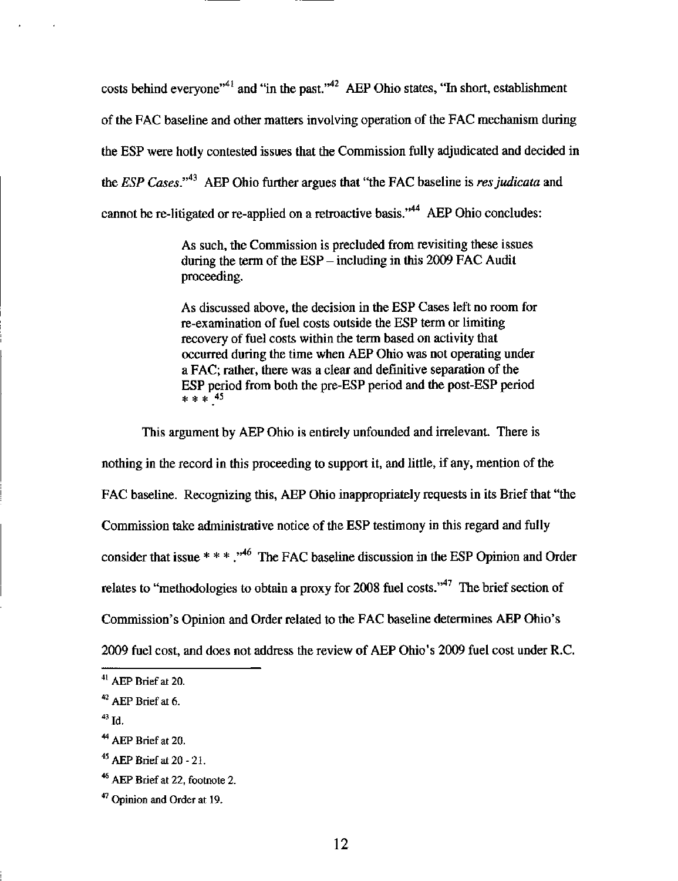costs behind everyone"<sup>41</sup> and "in the past." $^{42}$  AEP Ohio states, "In short, establishment of the FAC baseline and other matters involving operation of the FAC mechanism during the ESP were hotly contested issues that the Commission fully adjudicated and decided in the ESP Cases."<sup>43</sup> AEP Ohio further argues that "the FAC baseline is res judicata and cannot be re-litigated or re-applied on a retroactive basis."<sup>44</sup> AEP Ohio concludes:

> As such, the Commission is precluded from revisiting these issues during the term of the  $ESP -$  including in this 2009 FAC Audit proceeding.

As discussed above, the decision in the ESP Cases left no room for re-examination of fuel costs outside the ESP term or limiting recovery of fuel costs within the term based on activity that occurred during the time when AEP Ohio was not operating under a FAC; rather, there was a clear and definitive separation of the ESP period from both the pre-ESP period and the post-ESP period  $***$   $45$ 

This argument by AEP Ohio is entirely unfounded and irrelevant. There is nothing in the record in this proceeding to support it, and littie, if any, mention of the FAC baseline. Recognizing this, AEP Ohio inappropriately requests in its Brief that "the Commission take administrative notice of the ESP testimony in this regard and fully consider that issue \* \* \*,  $\cdot^{46}$  The FAC baseline discussion in the ESP Opinion and Order relates to "methodologies to obtain a proxy for 2008 fuel costs."<sup>47</sup> The brief section of Commission's Opinion and Order related to the FAC baseline determines AEP Ohio's 2009 fuel cost, and does not address the review of AEP Ohio's 2009 fuel cost under R.C.

 $43$  Id.

 $^{41}$  AEP Brief at 20.

 $42$  AEP Brief at 6.

 $^{44}$  AEP Brief at 20.

<sup>&</sup>lt;sup>45</sup> AEP Brief at  $20 - 21$ .

 $46$  AEP Brief at 22, footnote 2.

 $47$  Opinion and Order at 19.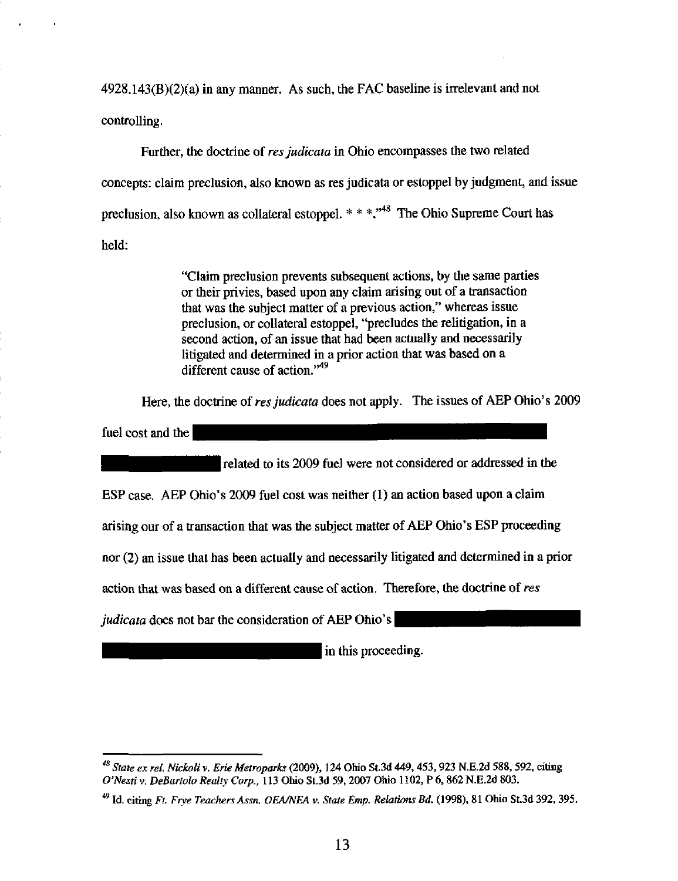$4928.143(B)(2)(a)$  in any manner. As such, the FAC baseline is irrelevant and not controlling.

Further, the doctrine of res judicata in Ohio encompasses the two related concepts: claim preclusion, also known as res judicata or estoppel by judgment, and issue preclusion, also known as collateral estoppel.  $* * *$ ."<sup>48</sup> The Ohio Supreme Court has held:

> "Claim preclusion prevents subsequent actions, by the same parties or their privies, based upon any claim arising out of a transaction that was the subject matter of a previous action," whereas issue preclusion, or collateral estoppel, "precludes the relitigation, in a second action, of an issue that had been actually and necessarily litigated and determined in a prior action that was based on a different cause of action."<sup>49</sup>

Here, the doctrine of res judicata does not apply. The issues of AEP Ohio's 2009

fuel cost and the

related to its 2009 fuel were not considered or addressed in the

ESP case, AEP Ohio's  $2009$  fuel cost was neither  $(1)$  an action based upon a claim

arising our of a transaction that was the subject matter of AEP Ohio's ESP proceeding

nor (2) an issue that has been actually and necessarily litigated and determined in a prior

action that was based on a different cause of action. Therefore, the doctrine of res

judicata does not bar the consideration of AEP Ohio's

in this proceeding.

 $^{48}$  State ex rel. Nickoli v. Erie Metroparks (2009), 124 Ohio St.3d 449, 453, 923 N.E.2d 588, 592, citing O'Nesti V. DeBartolo Realty Corp.. 113 Ohio St.3d 59, 2007 Ohio 1102, P 6,862 N.E.2d 803.

 $^{49}$  Id. citing Ft. Frye Teachers Assn. OEA/NEA v. State Emp. Relations Bd. (1998), 81 Ohio St.3d 392, 395.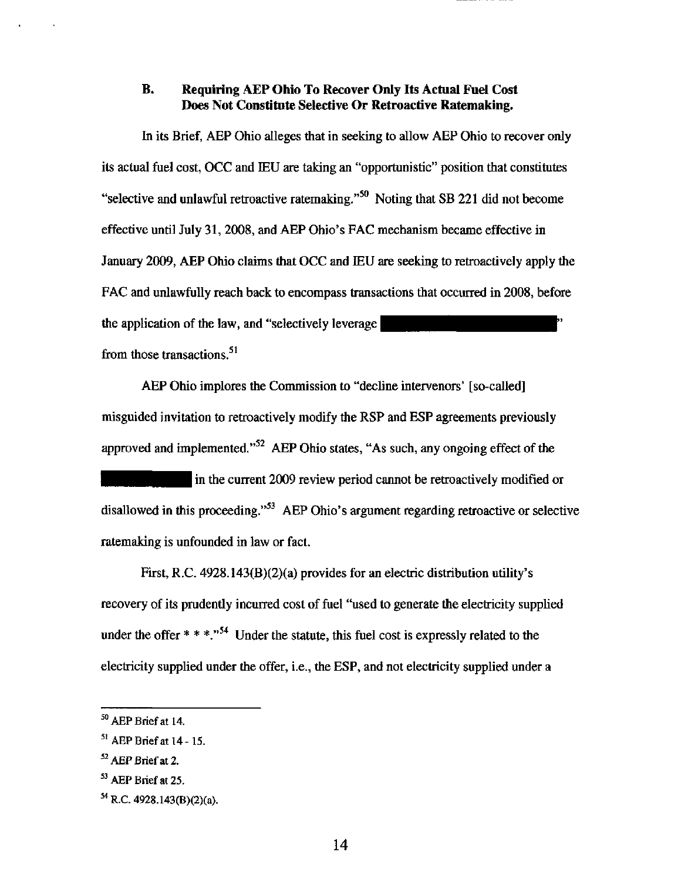## B. Requiring AEP Ohio To Recover Only Its Actual Fuel Cost Does Not Constitute Selective Or Retroactive Ratemaking.

In its Brief, AEP Ohio alleges that in seeking to allow AEP Ohio to recover only its actual fuel cost, OCC and lEU are taking an "opportunistic" position that constitutes "selective and unlawful retroactive ratemaking."<sup>50</sup> Noting that SB 221 did not become effective until July 31,2008, and AEP Ohio's FAC mechanism became effective in January 2009, AEP Ohio claims that OCC and IEU are seeking to retroactively apply the FAC and unlawfully reach back to encompass transactions that occurred in 2008, before the application of the law, and "selectively leverage  $\vert$ from those transactions.<sup>51</sup>

AEP Ohio implores the Commission to "decline intervenors' [so-called] misguided invitation to retroactively modify the RSP and ESP agreements previously approved and implemented."<sup>52</sup> AEP Ohio states, "As such, any ongoing effect of the

In the current 2009 review period cannot be retroactively modified or disallowed in this proceeding."<sup>53</sup> AEP Ohio's argument regarding retroactive or selective ratemaking is unfounded in law or fact.

First, R.C. 4928.143(B)(2)(a) provides for an electric distribution utility's recovery of its prudentiy incurred cost of fuel "used to generate the electricity supplied under the offer  $* * *$ ."<sup>54</sup> Under the statute, this fuel cost is expressly related to the electricity supplied under the offer, i.e., the ESP, and not electricity supplied under a

 $50$  AEP Brief at 14.

 $^{51}$  AEP Brief at 14 - 15.

 $^{52}$  AEP Brief at 2.

<sup>&</sup>lt;sup>53</sup> AEP Brief at 25.

<sup>&</sup>lt;sup>54</sup> R.C. 4928.143(B)(2)(a).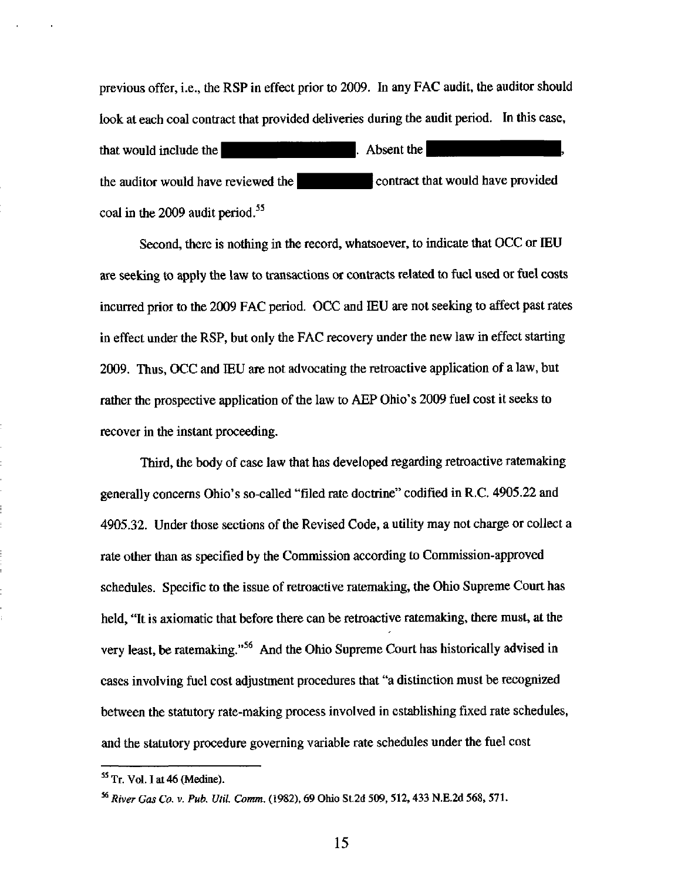previous offer, i.e., the RSP in effect prior to 2009. In any FAC audit, the auditor should look at each coal contract that provided deliveries during the audit period. In this case, that would include the  $\blacksquare$   $\blacksquare$  Absent the  $\blacksquare$ the auditor would have reviewed the **Example 20** contract that would have provided coal in the 2009 audit period.<sup>55</sup>

Second, there is nothing in the record, whatsoever, to indicate that OCC or lEU are seeking to apply the law to transactions or contracts related to fuel used or fuel costs incurred prior to the 2009 FAC period. OCC and IEU are not seeking to affect past rates in effect under the RSP, but only the FAC recovery under the new law in effect starting 2009. Thus, OCC and IEU are not advocating the retroactive application of a law, but rather the prospective application of the law to AEP Ohio's 2009 fuel cost it seeks to recover in the instant proceeding.

Third, the body of case law that has developed regarding retroactive ratemaking generally concems Ohio's so-called "filed rate doctrine" codified in R.C. 4905,22 and 4905.32. Under those sections of the Revised Code, a utility may not charge or collect a rate other than as specified by the Commission according to Commission-approved schedules. Specific to the issue of retroactive ratemaking, the Ohio Supreme Court has held, "It is axiomatic that before there can be retroactive ratemaking, there must, at the very least, be ratemaking."<sup>56</sup> And the Ohio Supreme Court has historically advised in cases involving fuel cost adjustment procedures that "a distinction must be recognized between the statutory rate-making process involved in establishing fixed rate schedules, and the statutory procedure governing variable rate schedules under the fuel cost

 $<sup>55</sup>$  Tr. Vol. I at 46 (Medine).</sup>

<sup>^^</sup> River Gas Co. v. Pub. Util. Comm. (1982), 69 Ohio St.2d 509, 512, 433 N.E.2d 568, 571.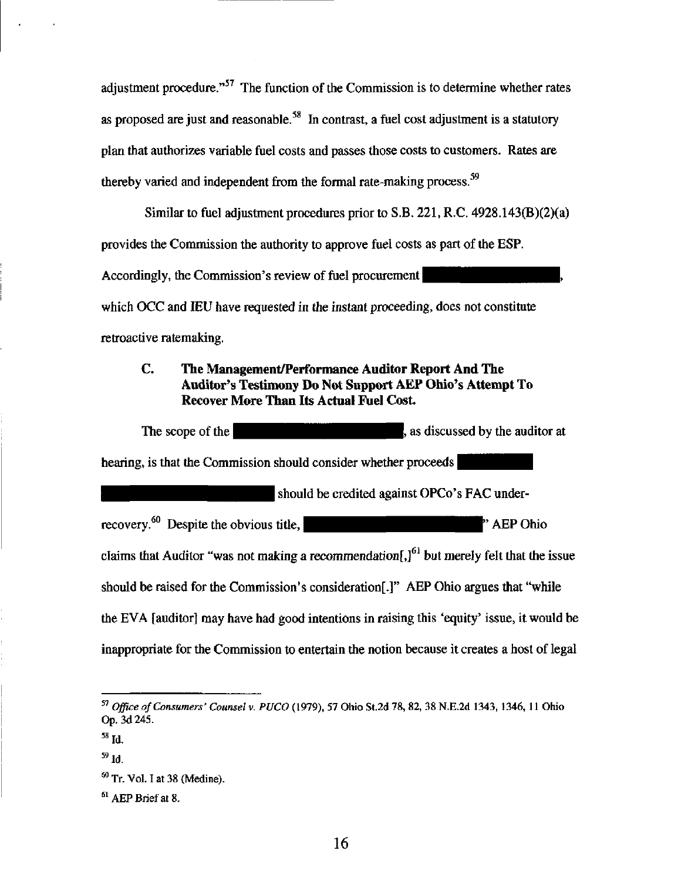adjustment procedure."<sup>57</sup> The function of the Commission is to determine whether rates as proposed are just and reasonable.<sup>58</sup> In contrast, a fuel cost adjustment is a statutory plan that authorizes variable fuel costs and passes those costs to customers. Rates are thereby varied and independent from the formal rate-making process.<sup> $59$ </sup>

Similar to fuel adjustment procedures prior to S.B. 221, R.C. 4928.143(B)(2)(a) provides the Commission the authority to approve fuel costs as part of the ESP. Accordingly, the Commission's review of fuel procurement which OCC and IEU have requested in the instant proceeding, does not constitute retroactive ratemaking.

## C. The Management/Performance Auditor Report And The Auditor's Testimony Do Not Support AEP Ohio's Attempt To Recover More Than Its Actual Fuel Cost

The scope of the  $\blacksquare$ , as discussed by the auditor at hearing, is that the Commission should consider whether proceeds should be credited against OPCo's FAC underrecovery.<sup>60</sup> Despite the obvious title,  $\blacksquare$  . A EP Ohio claims that Auditor "was not making a recommendation $\left[J^{61}\right]$  but merely felt that the issue should be raised for the Commission's consideration[.]" AEP Ohio argues that "while the EVA [auditor] may have had good intentions in raising this 'equity' issue, it would be inappropriate for the Commission to entertain the notion because it creates a host of legal

 $^{57}$  Office of Consumers' Counsel v. PUCO (1979), 57 Ohio St.2d 78, 82, 38 N.E.2d 1343, 1346, 11 Ohio Op. 3d 245.

 $^{58}$  Id.

 $59$  Id.

<sup>60</sup>  Tr. Vol. I at 38 (Medine).

<sup>61</sup>  AEP Brief at 8.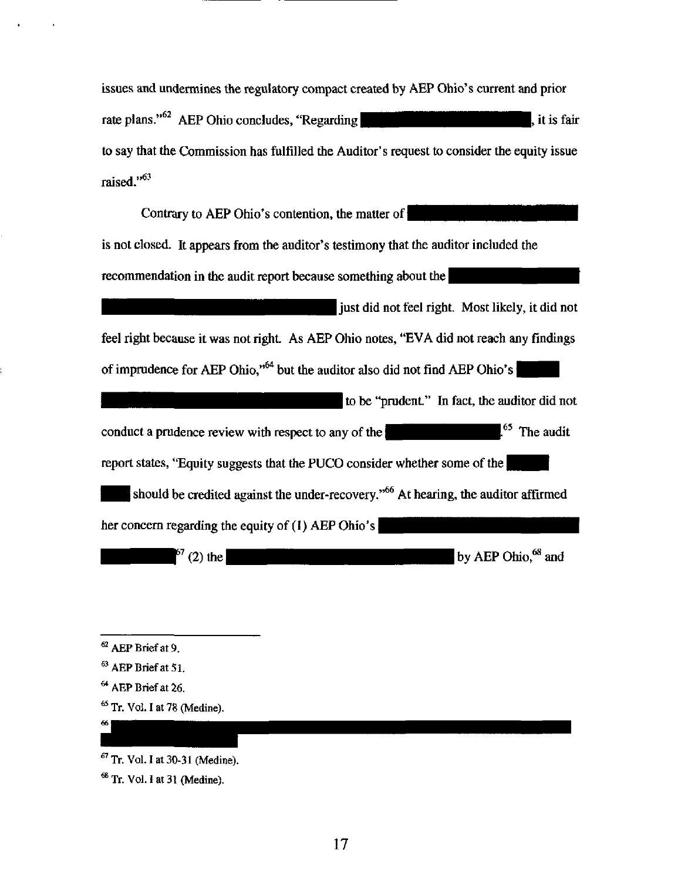issues and undermines the regulatory compact created by AEP Ohio's current and prior rate plans." $^{62}$  AEP Ohio concludes, "Regarding  $\blacksquare$ to say that the Commission has fulfilled the Auditor's request to consider the equity issue raised."<sup>63</sup>

| Contrary to AEP Ohio's contention, the matter of                                               |
|------------------------------------------------------------------------------------------------|
| is not closed. It appears from the auditor's testimony that the auditor included the           |
| recommendation in the audit report because something about the                                 |
| just did not feel right. Most likely, it did not                                               |
| feel right because it was not right. As AEP Ohio notes, "EVA did not reach any findings        |
| of imprudence for AEP Ohio," <sup>64</sup> but the auditor also did not find AEP Ohio's        |
| to be "prudent." In fact, the auditor did not                                                  |
| <sup>65</sup> The audit<br>conduct a prudence review with respect to any of the                |
| report states, "Equity suggests that the PUCO consider whether some of the                     |
| should be credited against the under-recovery." <sup>66</sup> At hearing, the auditor affirmed |
| her concern regarding the equity of (1) AEP Ohio's                                             |
| by AEP Ohio, <sup>68</sup> and<br>$67(2)$ the                                                  |

 $^{62}$  AEP Brief at 9.

 $<sup>64</sup>$  AEP Brief at 26.</sup>

 $66$ 

 $^{65}$  Tr. Vol. I at 78 (Medine).

 $^{68}$  Tr. Vol. I at 31 (Medine).

 $^{63}$  AEP Brief at 51.

 $^{67}$  Tr. Vol. I at 30-31 (Medine).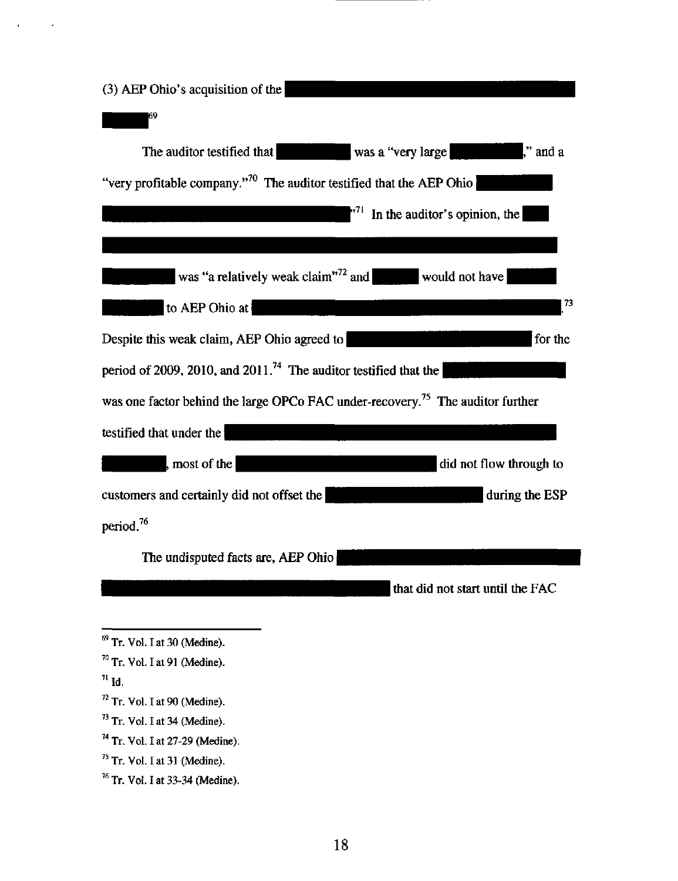| (3) AEP Ohio's acquisition of the                                                          |
|--------------------------------------------------------------------------------------------|
| 69                                                                                         |
| was a "very large<br>The auditor testified that<br>l." and a                               |
| "very profitable company." <sup>70</sup> The auditor testified that the AEP Ohio           |
| In the auditor's opinion, the<br>$\cdot$ 71                                                |
|                                                                                            |
| was "a relatively weak claim" <sup>72</sup> and<br>would not have                          |
| 73<br>to AEP Ohio at                                                                       |
| Despite this weak claim, AEP Ohio agreed to<br>for the                                     |
| period of 2009, 2010, and 2011. <sup>74</sup> The auditor testified that the               |
| was one factor behind the large OPCo FAC under-recovery. <sup>75</sup> The auditor further |
| testified that under the                                                                   |
| did not flow through to<br>, most of the $ $                                               |
| customers and certainly did not offset the<br>during the ESP                               |
| period. <sup>76</sup>                                                                      |
| The undisputed facts are, AEP Ohio                                                         |
| that did not start until the FAC                                                           |
|                                                                                            |

 $^{71}$  Id.

 $\hat{\mathbf{r}}$ 

- $72$  Tr. Vol. I at 90 (Medine).
- $^{73}$  Tr. Vol. I at 34 (Medine).
- <sup>74</sup> Tr. Vol. I at 27-29 (Medine).
- $75$  Tr. Vol. I at 31 (Medine).
- $76$  Tr. Vol. I at 33-34 (Medine).

 $^{69}$  Tr. Vol. I at 30 (Medine).

 $70$  Tr. Vol. I at 91 (Medine).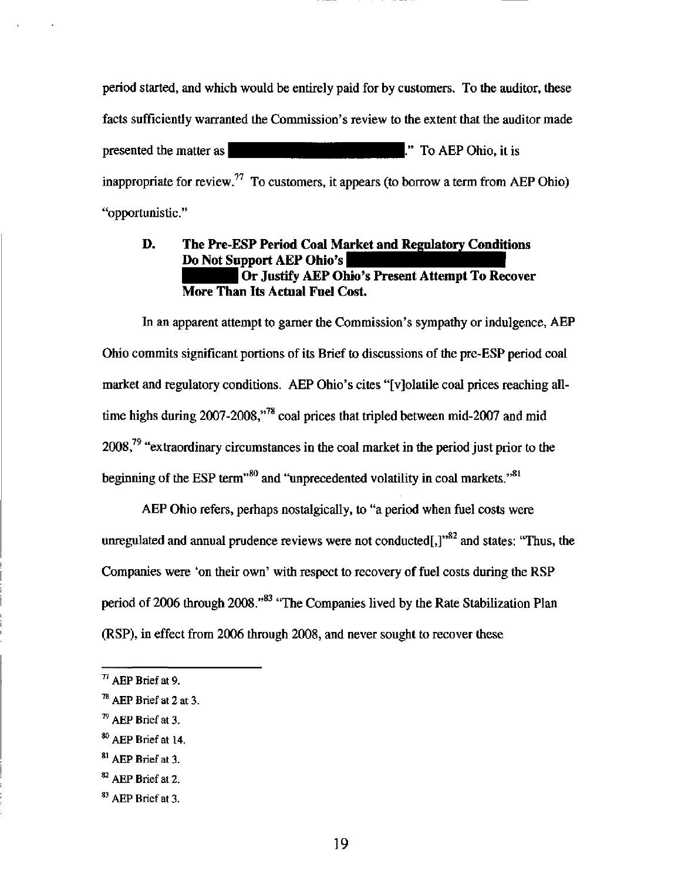period started, and which would be entirely paid for by customers. To the auditor, these facts sufficientiy warranted the Commission's review to the extent that the auditor made presented the matter as  $\blacksquare$   $\blacksquare$   $\blacksquare$   $\blacksquare$   $\blacksquare$   $\blacksquare$   $\blacksquare$   $\blacksquare$   $\blacksquare$   $\blacksquare$   $\blacksquare$   $\blacksquare$   $\blacksquare$   $\blacksquare$   $\blacksquare$   $\blacksquare$   $\blacksquare$   $\blacksquare$   $\blacksquare$   $\blacksquare$   $\blacksquare$   $\blacksquare$   $\blacksquare$   $\blacksquare$   $\blacksquare$   $\blacksquare$   $\blacksquare$   $\blacksquare$   $\$ inappropriate for review.<sup>77</sup> To customers, it appears (to borrow a term from AEP Ohio) "opportunistic."

## D. The Pre-ESP Period Coal Market and Regulatory Conditions Do Not Support AEP Ohio's Or Justify AEP Ohio's Present Attempt To Recover More Than Its Actual Fuel Cost.

In an apparent attempt to gamer the Commission's sympathy or indulgence, AEP Ohio commits significant portions of its Brief to discussions of the pre-ESP period coal market and regulatory conditions. AEP Ohio's cites "[vjolatile coal prices reaching alltime highs during  $2007 - 2008$ ,"<sup>78</sup> coal prices that tripled between mid-2007 and mid- $2008<sup>79</sup>$  "extraordinary circumstances in the coal market in the period just prior to the beginning of the ESP term"<sup>80</sup> and "unprecedented volatility in coal markets."<sup>81</sup>

AEP Ohio refers, perhaps nostalgically, to "a period when fuel costs were unregulated and annual prudence reviews were not conducted[,] $^{982}$  and states: "Thus, the Companies were \*on their own' with respect to recovery of fuel costs during the RSP period of 2006 through 2008."<sup>83</sup> "The Companies lived by the Rate Stabilization Plan (RSP), in effect from 2006 through 2008, and never sought to recover these

 $^{\prime\prime}$  AEP Brief at 9.

<sup>™</sup> AEP Brief at 2 at 3.

 $^{79}$  AEP Brief at 3.

<sup>&</sup>lt;sup>80</sup> AEP Brief at 14.

 $^{81}$  AEP Brief at 3.

 $^{82}$  AEP Brief at 2.

 $^{83}$  AEP Brief at 3.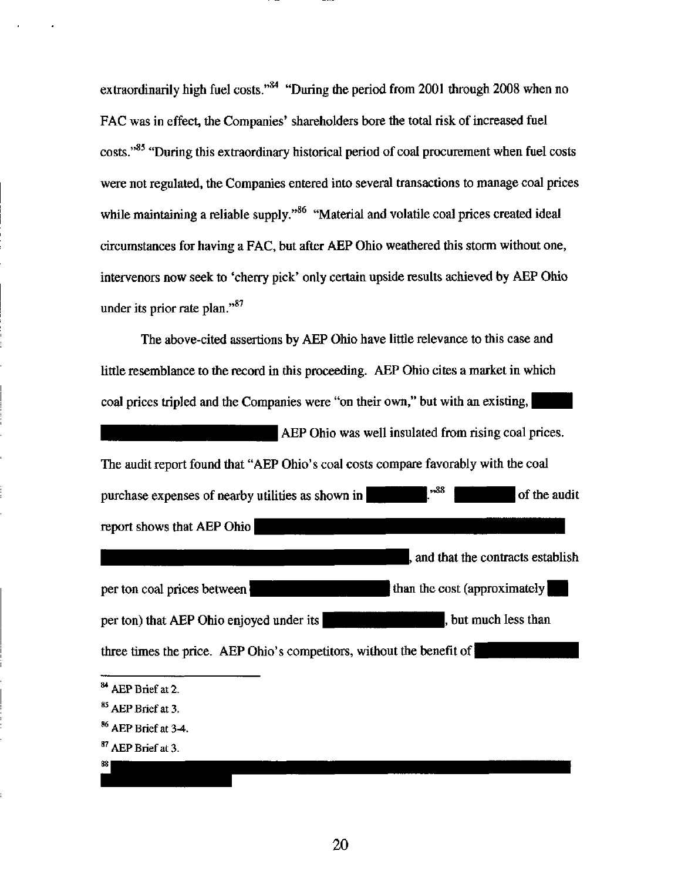extraordinarily high fuel costs."<sup>84</sup> "During the period from 2001 through 2008 when no FAC was in effect, the Companies' shareholders bore the total risk of increased fuel costs."<sup>85</sup> "During this extraordinary historical period of coal procurement when fuel costs were not regulated, the Companies entered into several transactions to manage coal prices while maintaining a reliable supply." $86$  "Material and volatile coal prices created ideal circumstances for having a FAC, but after AEP Ohio weathered this storm without one, intervenors now seek to 'cherry pick' only certain upside results achieved by AEP Ohio under its prior rate plan." $87$ 

The above-cited assertions by AEP Ohio have littie relevance to this case and little resemblance to the record in this proceeding. AEP Ohio cites a market in which coal prices tripled and the Companies were "on their own," but with an existing, AEP Ohio was well insulated from rising coal prices. The audit report found that "AEP Ohio's coal costs compare favorably with the coal purchase expenses of nearby utilities as shown in  $\mathbb{R}^{38}$  of the audit report shows that AEP Ohio per ton coal prices between per ton) that AEP Ohio enjoyed under its |, and that the contracts establish than the cost (approximately) , but much less than three times the price. AEP Ohio's competitors, without the benefit of

<sup>84</sup> AEP Brief at 2.

 $85$  AEP Brief at 3.

<sup>86</sup>  AEP Brief at 3-4.

<sup>87</sup>  AEP Brief at 3.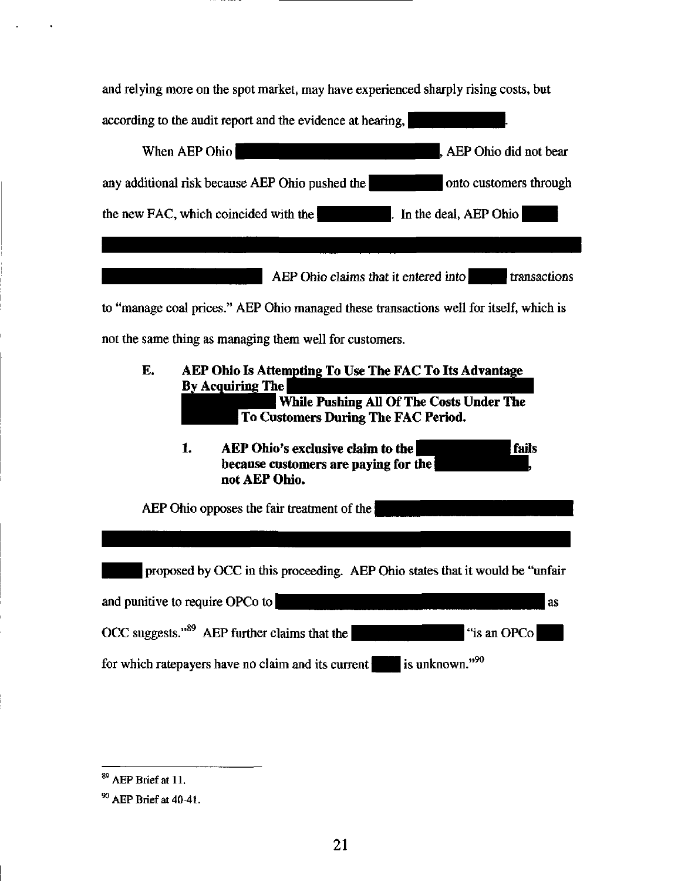| and relying more on the spot market, may have experienced sharply rising costs, but                                                                                               |
|-----------------------------------------------------------------------------------------------------------------------------------------------------------------------------------|
| according to the audit report and the evidence at hearing,                                                                                                                        |
| When AEP Ohio<br>AEP Ohio did not bear                                                                                                                                            |
| any additional risk because AEP Ohio pushed the<br>onto customers through                                                                                                         |
| the new FAC, which coincided with the<br>. In the deal, $AEP Ohio$                                                                                                                |
|                                                                                                                                                                                   |
| AEP Ohio claims that it entered into<br>transactions                                                                                                                              |
| to "manage coal prices." AEP Ohio managed these transactions well for itself, which is                                                                                            |
| not the same thing as managing them well for customers.                                                                                                                           |
| E.<br>AEP Ohio Is Attempting To Use The FAC To Its Advantage<br><b>By Acquiring The</b><br><b>While Pushing All Of The Costs Under The</b><br>To Customers During The FAC Period. |
| fails<br>1.<br>AEP Ohio's exclusive claim to the<br>because customers are paying for the<br>not AEP Ohio.                                                                         |
| AEP Ohio opposes the fair treatment of the                                                                                                                                        |
|                                                                                                                                                                                   |
| proposed by OCC in this proceeding. AEP Ohio states that it would be "unfair                                                                                                      |
| and punitive to require OPCo to<br>as                                                                                                                                             |
| OCC suggests." $89$ AEP further claims that the<br>"is an OPCo                                                                                                                    |
| is unknown." <sup>90</sup><br>for which ratepayers have no claim and its current                                                                                                  |

 $\overline{^{89}$  AEP Brief at 11.

 $90$  AEP Brief at 40-41.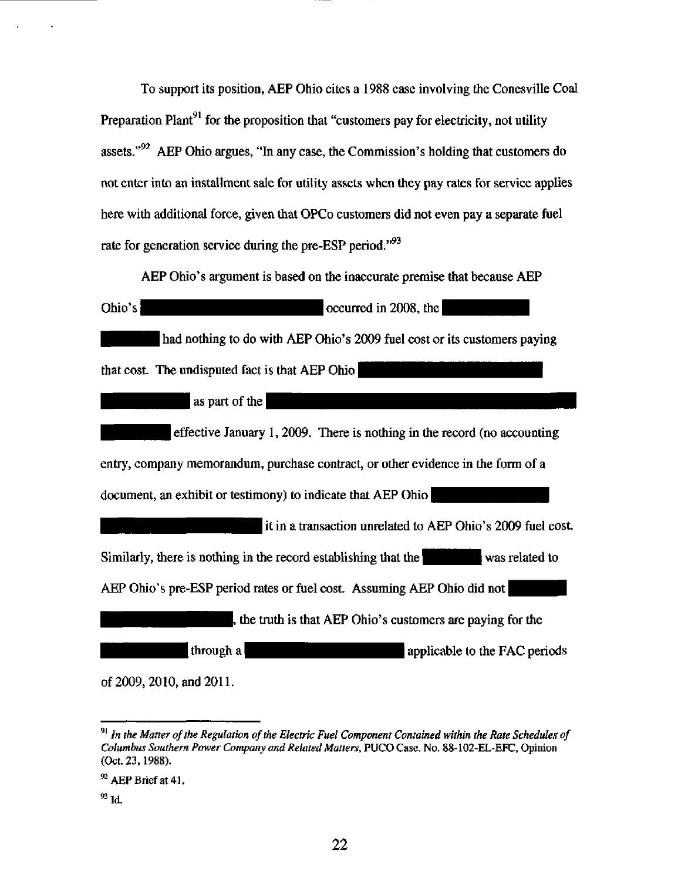To support its position, AEP Ohio cites a 1988 case involving the Conesville Coal Preparation Plant<sup>91</sup> for the proposition that "customers pay for electricity, not utility assets." $^{92}$  AEP Ohio argues, "In any case, the Commission's holding that customers do not enter into an installment sale for utility assets when they pay rates for service applies here with additional force, given that OPCo customers did not even pay a separate fuel rate for generation service during the pre-ESP period. $^{93}$ 

AEP Ohio's argument is based on the inaccurate premise that because AEP Ohio's courred in 2008, the had nothing to do with AEP Ohio's 2009 fuel cost or its customers paying that cost. The undisputed fact is that AEP Ohio as part of the effective January 1, 2009. There is nothing in the record (no accounting entry, company memorandum, purchase contract, or other evidence in the form of a document, an exhibit or testimony) to indicate that AEP Ohio it in a transaction unrelated to AEP Ohio's 2009 fuel cost Similarly, there is nothing in the record establishing that the  $\|$  was related to AEP Ohio's pre-ESP period rates or fuel cost. Assuming AEP Ohio did not the truth is that AEP Ohio's customers are paying for the through a  $\blacksquare$  applicable to the FAC periods

of2009,2010, and 2011.

 $91$  In the Matter of the Regulation of the Electric Fuel Component Contained within the Rate Schedules of Columbus Southern Power Company and Related Matters, PUCO Case. No, 88-102-EL-EFC, Opinion (Oct. 23,1988).

 $^{92}$  AEP Brief at 41.

 $^{93}$  Id.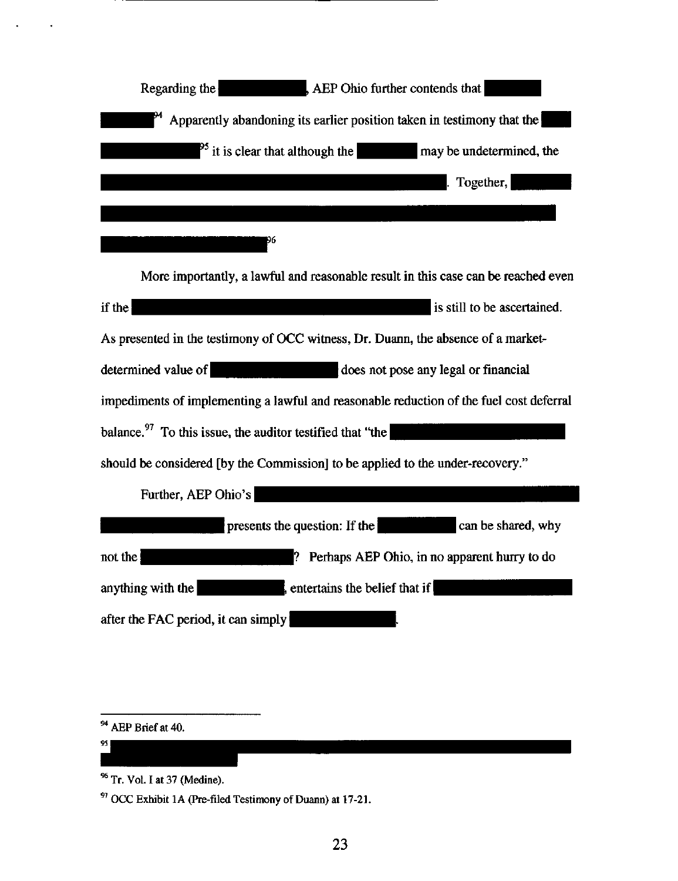| Regarding the                         | $AEP$ Ohio further contends that                                       |
|---------------------------------------|------------------------------------------------------------------------|
|                                       | Apparently abandoning its earlier position taken in testimony that the |
| $^{95}$ it is clear that although the | may be undetermined, the                                               |
|                                       | Together,                                                              |
|                                       |                                                                        |
|                                       |                                                                        |

More importantiy, a lawful and reasonable result in this case can be reached even if the  $\overline{\phantom{a}}$  is still to be ascertained. As presented in the testimony of OCC witness. Dr. Duann, the absence of a marketdetermined value of  $\qquad \qquad$  does not pose any legal or financial impediments of implementing a lawful and reasonable reduction of the fuel cost deferral 97 balance. To this issue, the auditor testified that "the should be considered [by the Commission] to be applied to the under-recovery.' Further, AEP Ohio's

^^^l^^l^ m presents the question: If the ^^^^^^ B ^ ^ ^^ shared, why not the *p*  $\blacksquare$  **Perhaps AEP Ohio, in no apparent hurry to do** anything with the  $\blacksquare$ , entertains the belief that if  $\blacksquare$ after the FAC period, it can simply

<sup>94</sup> AEP Brief at 40.

 $95$ 

<sup>&</sup>lt;sup>96</sup> Tr. Vol. I at 37 (Medine).

<sup>&</sup>lt;sup>97</sup> OCC Exhibit 1A (Pre-filed Testimony of Duann) at 17-21.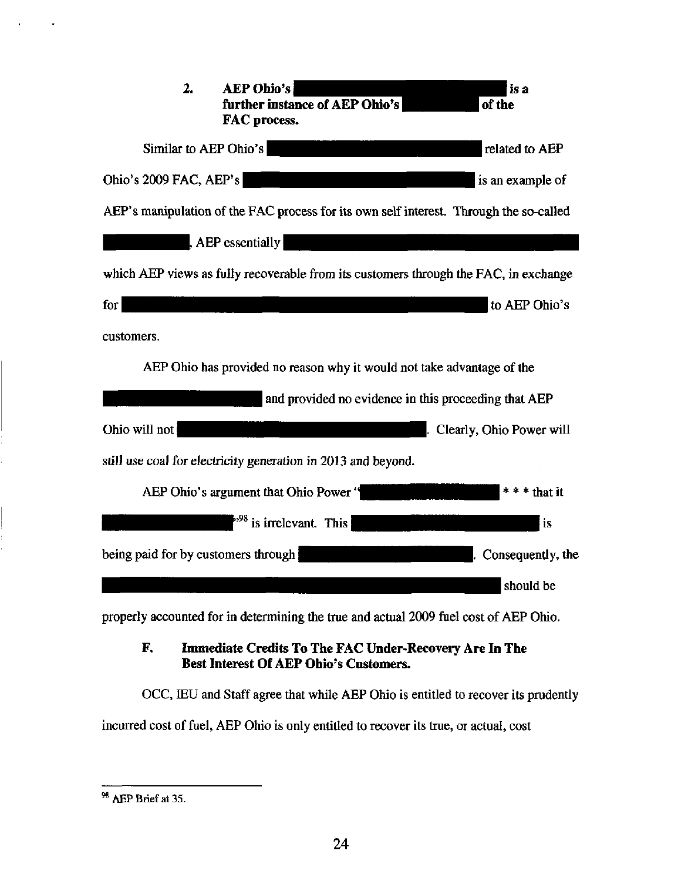| <b>AEP Obio's</b><br>2.<br>is a<br>further instance of AEP Ohio's<br>of the<br>FAC process. |
|---------------------------------------------------------------------------------------------|
| Similar to AEP Ohio's<br>related to AEP                                                     |
| Ohio's 2009 FAC, AEP's<br>is an example of                                                  |
| AEP's manipulation of the FAC process for its own self interest. Through the so-called      |
| $,$ AEP essentially                                                                         |
| which AEP views as fully recoverable from its customers through the FAC, in exchange        |
| to AEP Ohio's<br>for <sub>l</sub>                                                           |
| customers.                                                                                  |
| AEP Ohio has provided no reason why it would not take advantage of the                      |
| and provided no evidence in this proceeding that AEP                                        |
| Ohio will not<br>Clearly, Ohio Power will                                                   |
| still use coal for electricity generation in 2013 and beyond.                               |
| AEP Ohio's argument that Ohio Power "<br>$***$ that it                                      |
| $\frac{1}{2}$ is irrelevant. This<br>is                                                     |
| being paid for by customers through<br>Consequently, the                                    |
| should be                                                                                   |

properly accounted for in determining the true and actual 2009 fuel cost of AEP Ohio.

## F, Immediate Credits To The FAC Under-Recovery Are In The Best Interest Of AEP Ohio's Customers.

OCC, EEU and Staff agree that while AEP Ohio is entitled to recover its prudentiy incurred cost of fuel, AEP Ohio is only entitled to recover its true, or actual, cost

<sup>98</sup> AEP Brief at 35.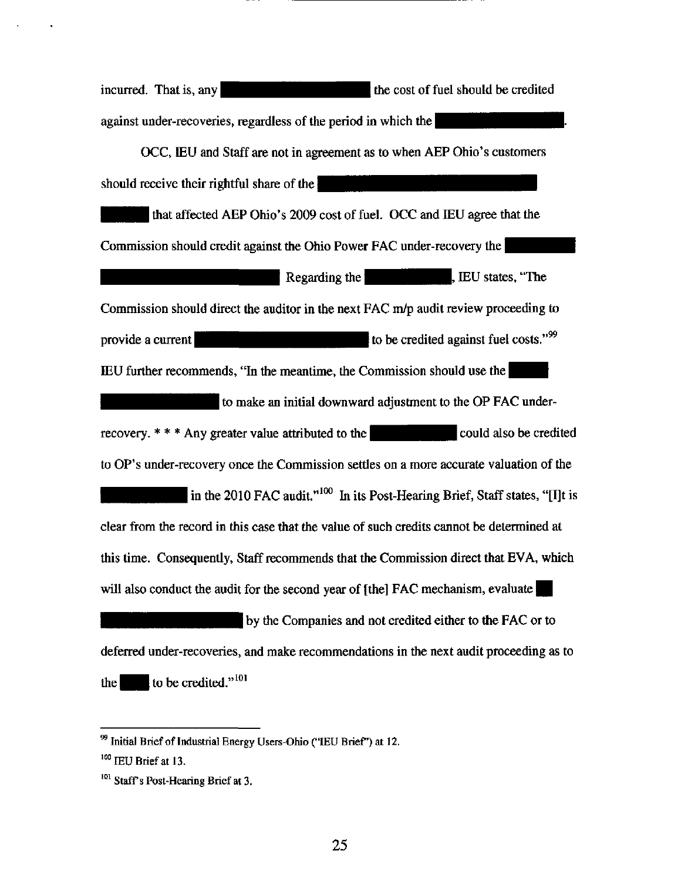incurred. That is, any june is incurred. That is, any june is generally the cost of fuel should be credited against under-recoveries, regardless of the period in which the OCC, lEU and Staff are not in agreement as to when AEP Ohio's customers should receive their rightful share of the that affected AEP Ohio's 2009 cost of fuel. OCC and IEU agree that the Commission should credit against the Ohio Power FAC under-recovery the  $\mathbf{R}$  Regarding the  $\mathbf{R}$  Regarding the  $\mathbf{R}$  Regarding the  $\mathbf{R}$ Commission should direct the auditor in the next FAC m/p audit review proceeding to provide a current  $|$   $|$   $|$   $|$   $|$  to be credited against fuel costs."  $99$ lEU further recommends, "In the meantime, the Commission should use the to make an initial downward adjustment to the OP FAC under recovery.  $* * *$  Any greater value attributed to the could also be credited to OP's under-recovery once the Commission setties on a more accurate valuation of the in the 2010 FAC audit."<sup>100</sup> In its Post-Hearing Brief, Staff states, "[I]t is clear from the record in this case that the value of such credits cannot be determined at this time. Consequentiy, Staff recommends that the Commission direct that EVA, which will also conduct the audit for the second year of [the] FAC mechanism, evaluate by the Companies and not credited either to the FAC or to deferred under-recoveries, and make recommendations in the next audit proceeding as to the to be credited." $101$ 

 $^{99}$  Initial Brief of Industrial Energy Users-Ohio ("IEU Brief") at 12.  $^{100}$  IEU Brief at 13.

<sup>&</sup>lt;sup>101</sup> Staff's Post-Hearing Brief at 3.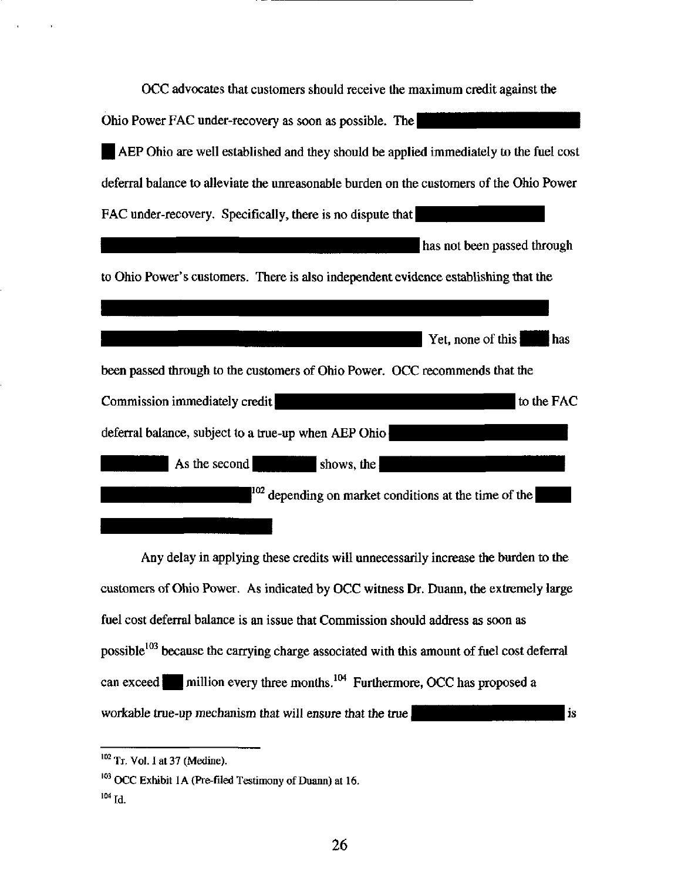| OCC advocates that customers should receive the maximum credit against the               |
|------------------------------------------------------------------------------------------|
| Ohio Power FAC under-recovery as soon as possible. The                                   |
| AEP Ohio are well established and they should be applied immediately to the fuel cost    |
| deferral balance to alleviate the unreasonable burden on the customers of the Ohio Power |
| FAC under-recovery. Specifically, there is no dispute that                               |
| has not been passed through                                                              |
| to Ohio Power's customers. There is also independent evidence establishing that the      |
|                                                                                          |
| Yet, none of this<br>has                                                                 |
| been passed through to the customers of Ohio Power. OCC recommends that the              |
| Commission immediately credit<br>to the FAC                                              |
| deferral balance, subject to a true-up when AEP Ohio                                     |
| As the second<br>$ $ shows, the $ $                                                      |
| $\mu^{\text{102}}$ depending on market conditions at the time of the                     |
|                                                                                          |

Any delay in applying these credits will unnecessarily increase the burden to the customers of Ohio Power. As indicated by OCC witness Dr. Duann, the extremely large fuel cost deferral balance is an issue that Commission should address as soon as possible<sup>103</sup> because the carrying charge associated with this amount of fuel cost deferral can exceed  $\blacksquare$  million every three months.<sup>104</sup> Furthermore, OCC has proposed a is workable true-up mechanism that will ensure that the true

 $102$  Tr. Vol. 1 at 37 (Medine).

<sup>&</sup>lt;sup>103</sup> OCC Exhibit 1A (Pre-filed Testimony of Duann) at 16.

 $^{104}$  Id.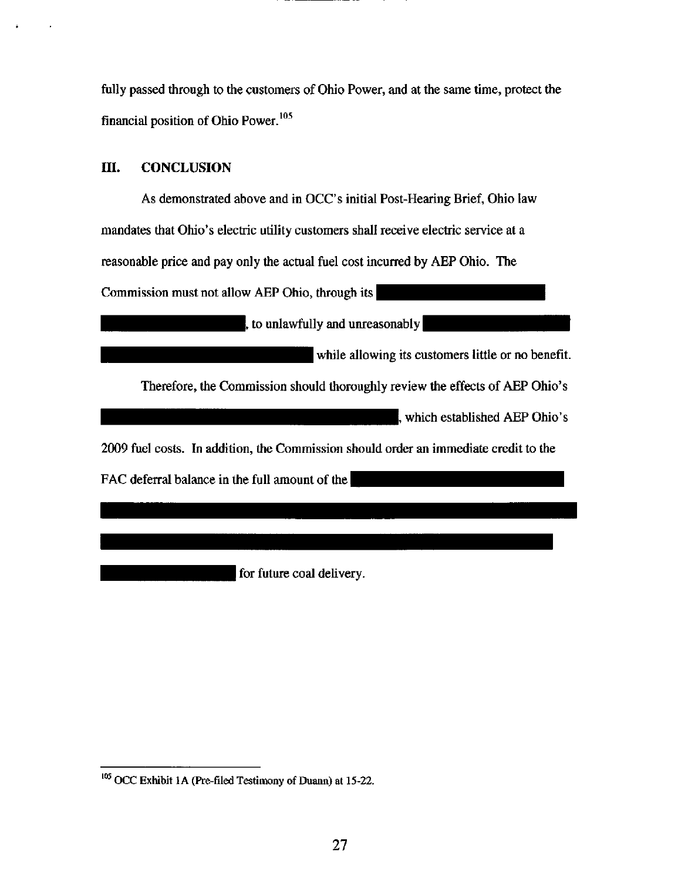fully passed through to the customers of Ohio Power, and at the same time, protect the financial position of Ohio Power.<sup>105</sup>

## in. CONCLUSION

As demonstrated above and in OCC's initial Post-Hearing Brief, Ohio law mandates that Ohio's electric utility customers shall receive electric service at a reasonable price and pay only the actual fuel cost incurred by AEP Ohio. The Commission must not allow AEP Ohio, through its

, to unlawfully and unreasonably

while allowing its customers little or no benefit.

Therefore, the Commission should thoroughly review the effects of AEP Ohio's

|, which established AEP Ohio's

2009 fuel costs. In addition, the Commission should order an immediate credit to the

FAC deferral balance in the full amount of the

for future coal delivery.

<sup>&</sup>lt;sup>105</sup> OCC Exhibit 1A (Pre-filed Testimony of Duann) at 15-22.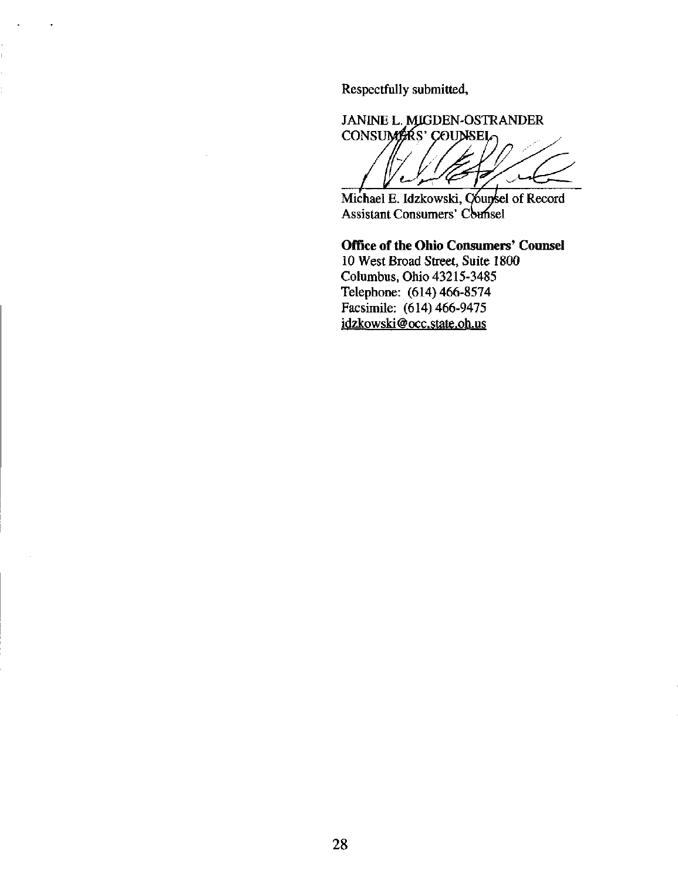Respectfully submitted,

DEN-OSTRANDER JANINE L **CONSI**  $\ddot{\phantom{0}}$ 

Michael E. Idzkowski, Counsel of Record Assistant Consumers' Counsel

Office of the Ohio Consumers' Counsel 10 West Broad Street, Suite 1800 Columbus, Ohio 43215-3485 Telephone: (614) 466-8574 Facsimile: (614) 466-9475 [idzkowski@occ.state.oh.us](mailto:idzkowski@occ.state.oh.us)